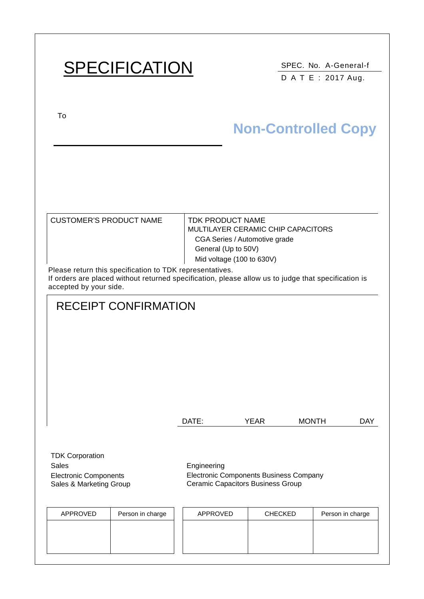# SPECIFICATION SPEC. No. A-General-f

D A T E : 2017 Aug.

To

# **Non-Controlled Copy**

| CUSTOMER'S PRODUCT NAME                                  | TDK PRODUCT NAME<br>MULTILAYER CERAMIC CHIP CAPACITORS |  |  |  |  |  |
|----------------------------------------------------------|--------------------------------------------------------|--|--|--|--|--|
|                                                          | CGA Series / Automotive grade                          |  |  |  |  |  |
|                                                          | General (Up to 50V)                                    |  |  |  |  |  |
|                                                          | Mid voltage (100 to 630V)                              |  |  |  |  |  |
| Please return this specification to TDK representatives. |                                                        |  |  |  |  |  |

If orders are placed without returned specification, please allow us to judge that specification is accepted by your side.

# RECEIPT CONFIRMATION DATE: YEAR MONTH DAY

TDK Corporation Sales **Engineering** Electronic Components Sales & Marketing Group

Electronic Components Business Company Ceramic Capacitors Business Group

| APPROVED | Person in charge | APPROVED | <b>CHECKED</b> | Person in charge |
|----------|------------------|----------|----------------|------------------|
|          |                  |          |                |                  |
|          |                  |          |                |                  |
|          |                  |          |                |                  |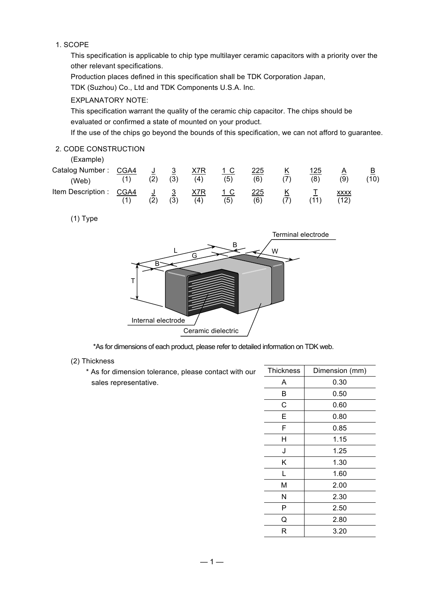### 1. SCOPE

This specification is applicable to chip type multilayer ceramic capacitors with a priority over the other relevant specifications.

Production places defined in this specification shall be TDK Corporation Japan,

TDK (Suzhou) Co., Ltd and TDK Components U.S.A. Inc.

### EXPLANATORY NOTE:

This specification warrant the quality of the ceramic chip capacitor. The chips should be evaluated or confirmed a state of mounted on your product.

If the use of the chips go beyond the bounds of this specification, we can not afford to guarantee.

### 2. CODE CONSTRUCTION

(Example)

| Catalog Number: CGA4<br>(Web) | (2)                 | $\mathbf{3}$<br>(3)            | X7R<br>(4) | (5) | 225<br>(6) | Κ<br>(7) | 125<br>(8) | (9)                 | B<br>(10) |
|-------------------------------|---------------------|--------------------------------|------------|-----|------------|----------|------------|---------------------|-----------|
| Item Description : CGA4       | $\mathsf{J}$<br>(2) | $\overline{\mathbf{3}}$<br>(3) | X7R<br>(4) | (5) | 225<br>(6) | K<br>(7) | (11)       | <b>XXXX</b><br>(12) |           |

(1) Type



\*As for dimensions of each product, please refer to detailed information on TDK web.

### (2) Thickness

\* As for dimension tolerance, please contact with our sales representative.

| <b>Thickness</b> | Dimension (mm) |
|------------------|----------------|
| Α                | 0.30           |
| B                | 0.50           |
| C                | 0.60           |
| E                | 0.80           |
| F                | 0.85           |
| Η                | 1.15           |
| J                | 1.25           |
| Κ                | 1.30           |
| L                | 1.60           |
| М                | 2.00           |
| Ν                | 2.30           |
| P                | 2.50           |
| Q                | 2.80           |
| R                | 3.20           |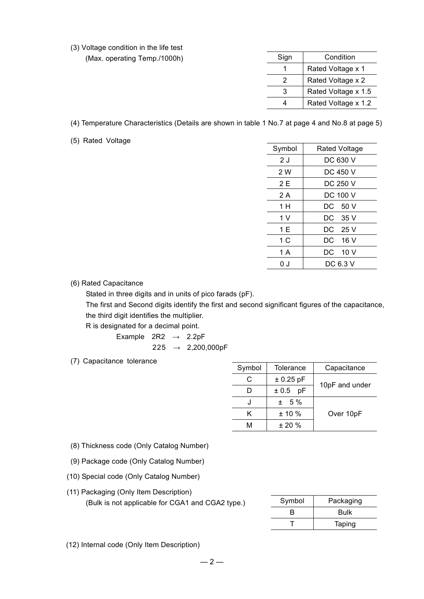(3) Voltage condition in the life test

(Max. operating Temp./1000h)

| Sign | Condition           |
|------|---------------------|
|      | Rated Voltage x 1   |
| 2    | Rated Voltage x 2   |
| З    | Rated Voltage x 1.5 |
|      | Rated Voltage x 1.2 |
|      |                     |

(4) Temperature Characteristics (Details are shown in table 1 No.7 at page 4 and No.8 at page 5)

(5) Rated Voltage

| Rated Voltage |
|---------------|
| DC 630 V      |
| DC 450 V      |
| DC 250 V      |
| DC 100 V      |
| DC 50 V       |
| DC 35 V       |
| DC 25 V       |
| DC 16 V       |
| DC 10 V       |
| DC 6.3 V      |
|               |

### (6) Rated Capacitance

Stated in three digits and in units of pico farads (pF).

The first and Second digits identify the first and second significant figures of the capacitance, the third digit identifies the multiplier.

R is designated for a decimal point.

Example  $2R2 \rightarrow 2.2pF$  $225 \rightarrow 2,200,000pF$ 

(7) Capacitance tolerance

| Symbol | Tolerance   | Capacitance    |
|--------|-------------|----------------|
| C.     | $± 0.25$ pF |                |
|        | ± 0.5<br>рF | 10pF and under |
|        | $± 5\%$     |                |
| ĸ      | $± 10 \%$   | Over 10pF      |
| M      | $+20%$      |                |

- (8) Thickness code (Only Catalog Number)
- (9) Package code (Only Catalog Number)
- (10) Special code (Only Catalog Number)
- (11) Packaging (Only Item Description) (Bulk is not applicable for CGA1 and CGA2 type.)

| Symbol | Packaging   |
|--------|-------------|
| в      | <b>Bulk</b> |
|        | Taping      |

(12) Internal code (Only Item Description)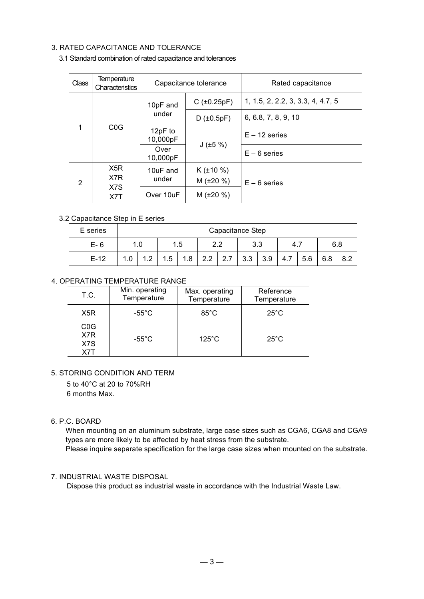### 3. RATED CAPACITANCE AND TOLERANCE

| <b>Class</b>          | Temperature<br>Characteristics |                     | Capacitance tolerance | Rated capacitance                 |  |
|-----------------------|--------------------------------|---------------------|-----------------------|-----------------------------------|--|
| 1<br>C <sub>0</sub> G |                                | 10pF and            | $C$ ( $\pm 0.25pF$ )  | 1, 1.5, 2, 2.2, 3, 3.3, 4, 4.7, 5 |  |
|                       |                                | under               | $D$ ( $\pm 0.5pF$ )   | 6, 6.8, 7, 8, 9, 10               |  |
|                       |                                | 12pF to<br>10,000pF | J(±5%)                | $E - 12$ series                   |  |
|                       |                                | Over<br>10,000pF    |                       | $E - 6$ series                    |  |
|                       | X <sub>5</sub> R               | 10uF and            | $K$ ( $\pm$ 10 %)     |                                   |  |
| 2                     | X7R                            | under               | $M$ ( $\pm 20 \%$ )   | $E - 6$ series                    |  |
|                       | X7T                            | X7S<br>Over 10uF    |                       | $M$ ( $\pm 20 \%$ )               |  |

### 3.1 Standard combination of rated capacitance and tolerances

### 3.2 Capacitance Step in E series

| E series | Capacitance Step |     |      |     |     |                         |     |     |       |     |     |     |
|----------|------------------|-----|------|-----|-----|-------------------------|-----|-----|-------|-----|-----|-----|
| $E-6$    |                  | 1.0 |      | 1.5 |     | 3.3<br>າາ<br><u>_._</u> |     |     | -4. . |     | 6.8 |     |
| $E-12$   | 1.0              | ົ   | ا 5. | 1.8 | 2.2 | 2.7                     | 3.3 | 3.9 | 4.7   | 5.6 | 6.8 | 8.2 |

### 4. OPERATING TEMPERATURE RANGE

| T.C.                                  | Min. operating<br>Temperature | Max. operating<br>Temperature | Reference<br>Temperature |
|---------------------------------------|-------------------------------|-------------------------------|--------------------------|
| X <sub>5</sub> R                      | -55 $^{\circ}$ C              | $85^{\circ}$ C                | $25^{\circ}$ C           |
| C <sub>0</sub> G<br>X7R<br>X7S<br>X7T | -55 $^{\circ}$ C              | $125^{\circ}$ C               | $25^{\circ}$ C           |

### 5. STORING CONDITION AND TERM

5 to 40°C at 20 to 70%RH

6 months Max.

### 6. P.C. BOARD

When mounting on an aluminum substrate, large case sizes such as CGA6, CGA8 and CGA9 types are more likely to be affected by heat stress from the substrate. Please inquire separate specification for the large case sizes when mounted on the substrate.

### 7. INDUSTRIAL WASTE DISPOSAL

Dispose this product as industrial waste in accordance with the Industrial Waste Law.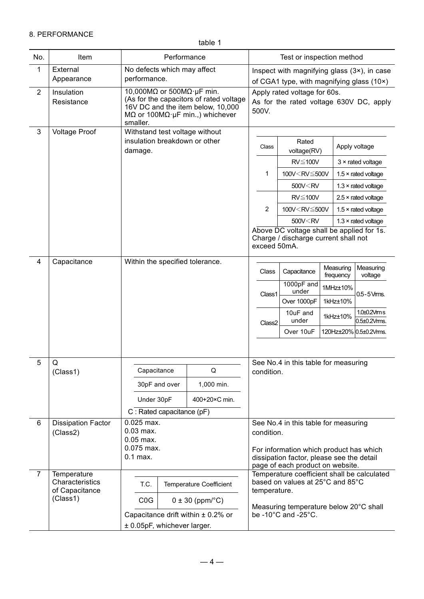### 8. PERFORMANCE

table 1

| No.            | Item                              | Performance                                                                                                                                                                                  |                                                      | Test or inspection method                                                        |                                                                                         |           |                            |  |  |
|----------------|-----------------------------------|----------------------------------------------------------------------------------------------------------------------------------------------------------------------------------------------|------------------------------------------------------|----------------------------------------------------------------------------------|-----------------------------------------------------------------------------------------|-----------|----------------------------|--|--|
| 1              | External                          | No defects which may affect                                                                                                                                                                  |                                                      | Inspect with magnifying glass $(3\times)$ , in case                              |                                                                                         |           |                            |  |  |
|                | Appearance                        | performance.                                                                                                                                                                                 |                                                      | of CGA1 type, with magnifying glass (10×)                                        |                                                                                         |           |                            |  |  |
| $\overline{2}$ | Insulation<br>Resistance          | 10,000M $\Omega$ or 500M $\Omega$ · µF min.<br>(As for the capacitors of rated voltage)<br>16V DC and the item below, 10,000<br>$M\Omega$ or 100M $\Omega$ · µF min.,) whichever<br>smaller. |                                                      | Apply rated voltage for 60s.<br>As for the rated voltage 630V DC, apply<br>500V. |                                                                                         |           |                            |  |  |
| $\mathfrak{S}$ | <b>Voltage Proof</b>              | Withstand test voltage without                                                                                                                                                               |                                                      |                                                                                  |                                                                                         |           |                            |  |  |
|                |                                   | insulation breakdown or other<br>damage.                                                                                                                                                     |                                                      | Class                                                                            | Rated<br>voltage(RV)                                                                    |           | Apply voltage              |  |  |
|                |                                   |                                                                                                                                                                                              |                                                      |                                                                                  | $RV \leq 100V$                                                                          |           | $3 \times$ rated voltage   |  |  |
|                |                                   |                                                                                                                                                                                              |                                                      | 1                                                                                | 100V <rv≦500v< td=""><td></td><td><math>1.5 \times</math> rated voltage</td></rv≦500v<> |           | $1.5 \times$ rated voltage |  |  |
|                |                                   |                                                                                                                                                                                              |                                                      |                                                                                  | 500V <rv< td=""><td></td><td><math>1.3 \times</math> rated voltage</td></rv<>           |           | $1.3 \times$ rated voltage |  |  |
|                |                                   |                                                                                                                                                                                              |                                                      |                                                                                  | $RV \leq 100V$                                                                          |           | $2.5 \times$ rated voltage |  |  |
|                |                                   |                                                                                                                                                                                              |                                                      | $\overline{2}$                                                                   | 100V <rv≦500v< td=""><td></td><td><math>1.5 \times</math> rated voltage</td></rv≦500v<> |           | $1.5 \times$ rated voltage |  |  |
|                |                                   |                                                                                                                                                                                              |                                                      |                                                                                  | 500V <rv< td=""><td></td><td><math>1.3 \times</math> rated voltage</td></rv<>           |           | $1.3 \times$ rated voltage |  |  |
|                |                                   |                                                                                                                                                                                              | Charge / discharge current shall not<br>exceed 50mA. | Above DC voltage shall be applied for 1s.                                        |                                                                                         |           |                            |  |  |
| $\overline{4}$ | Capacitance                       | Within the specified tolerance.                                                                                                                                                              |                                                      |                                                                                  | Measuring                                                                               | Measuring |                            |  |  |
|                |                                   |                                                                                                                                                                                              |                                                      | Class                                                                            | Capacitance                                                                             | frequency | voltage                    |  |  |
|                |                                   |                                                                                                                                                                                              |                                                      | Class1<br>Class2                                                                 | 1000pF and<br>under                                                                     | 1MHz±10%  |                            |  |  |
|                |                                   |                                                                                                                                                                                              |                                                      |                                                                                  | Over 1000pF                                                                             | 1kHz±10%  | $0.5 - 5$ Vms.             |  |  |
|                |                                   |                                                                                                                                                                                              |                                                      |                                                                                  | 10uF and                                                                                | 1kHz±10%  | 1.0±0.2Vms                 |  |  |
|                |                                   |                                                                                                                                                                                              |                                                      |                                                                                  | under                                                                                   |           | 0.5±0.2Vms.                |  |  |
|                |                                   |                                                                                                                                                                                              |                                                      |                                                                                  | Over 10uF                                                                               |           | 120Hz±20% 0.5±0.2Vms.      |  |  |
|                |                                   |                                                                                                                                                                                              |                                                      |                                                                                  |                                                                                         |           |                            |  |  |
| 5              | Q                                 |                                                                                                                                                                                              |                                                      |                                                                                  | See No.4 in this table for measuring                                                    |           |                            |  |  |
|                | (Class1)                          | Capacitance                                                                                                                                                                                  | Q                                                    | condition.                                                                       |                                                                                         |           |                            |  |  |
|                |                                   | 30pF and over                                                                                                                                                                                | 1,000 min.                                           |                                                                                  |                                                                                         |           |                            |  |  |
|                |                                   | Under 30pF                                                                                                                                                                                   | 400+20×C min.                                        |                                                                                  |                                                                                         |           |                            |  |  |
|                |                                   | $C:$ Rated capacitance (pF)                                                                                                                                                                  |                                                      |                                                                                  |                                                                                         |           |                            |  |  |
| 6              | <b>Dissipation Factor</b>         | $0.025$ max.                                                                                                                                                                                 |                                                      |                                                                                  | See No.4 in this table for measuring                                                    |           |                            |  |  |
|                | (Class2)                          | $0.03$ max.<br>$0.05$ max.                                                                                                                                                                   |                                                      | condition.                                                                       |                                                                                         |           |                            |  |  |
|                |                                   | $0.075$ max.                                                                                                                                                                                 |                                                      |                                                                                  | For information which product has which                                                 |           |                            |  |  |
|                |                                   | $0.1$ max.                                                                                                                                                                                   |                                                      |                                                                                  | dissipation factor, please see the detail<br>page of each product on website.           |           |                            |  |  |
| $\overline{7}$ | Temperature                       |                                                                                                                                                                                              |                                                      |                                                                                  | Temperature coefficient shall be calculated                                             |           |                            |  |  |
|                | Characteristics<br>of Capacitance | T.C.<br><b>Temperature Coefficient</b>                                                                                                                                                       | based on values at 25°C and 85°C<br>temperature.     |                                                                                  |                                                                                         |           |                            |  |  |
|                | (Class1)                          | COG                                                                                                                                                                                          | $0 \pm 30$ (ppm/ $^{\circ}$ C)                       | Measuring temperature below 20°C shall                                           |                                                                                         |           |                            |  |  |
|                |                                   | Capacitance drift within $\pm$ 0.2% or                                                                                                                                                       |                                                      |                                                                                  | be -10°C and -25°C.                                                                     |           |                            |  |  |
|                |                                   | ± 0.05pF, whichever larger.                                                                                                                                                                  |                                                      |                                                                                  |                                                                                         |           |                            |  |  |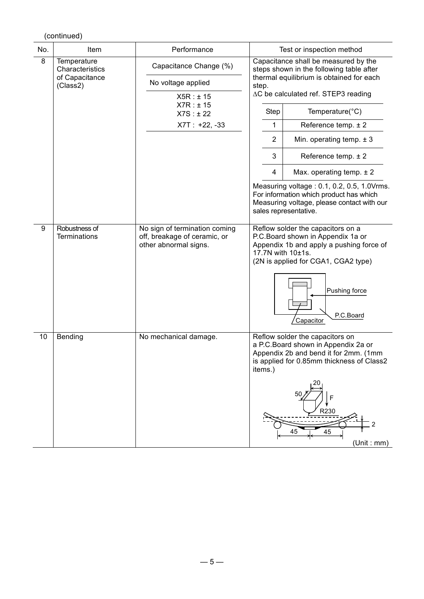|     | (continued)                          |                                                                                        |                                                                                  |                                                                                                                                                                                                        |  |  |
|-----|--------------------------------------|----------------------------------------------------------------------------------------|----------------------------------------------------------------------------------|--------------------------------------------------------------------------------------------------------------------------------------------------------------------------------------------------------|--|--|
| No. | Item                                 | Performance                                                                            | Test or inspection method                                                        |                                                                                                                                                                                                        |  |  |
| 8   | Temperature<br>Characteristics       | Capacitance Change (%)                                                                 | Capacitance shall be measured by the<br>steps shown in the following table after |                                                                                                                                                                                                        |  |  |
|     | of Capacitance<br>(Class2)           | No voltage applied                                                                     | step.                                                                            | thermal equilibrium is obtained for each                                                                                                                                                               |  |  |
|     |                                      | X5R : ± 15                                                                             | ∆C be calculated ref. STEP3 reading                                              |                                                                                                                                                                                                        |  |  |
|     |                                      | X7R : ± 15<br>X7S : ± 22                                                               | <b>Step</b>                                                                      | Temperature(°C)                                                                                                                                                                                        |  |  |
|     |                                      | $X7T : +22, -33$                                                                       | 1                                                                                | Reference temp. ± 2                                                                                                                                                                                    |  |  |
|     |                                      |                                                                                        | $\overline{2}$                                                                   | Min. operating temp. $\pm$ 3                                                                                                                                                                           |  |  |
|     |                                      |                                                                                        | 3                                                                                | Reference temp. $\pm 2$                                                                                                                                                                                |  |  |
|     |                                      |                                                                                        | 4                                                                                | Max. operating temp. $\pm 2$                                                                                                                                                                           |  |  |
|     |                                      |                                                                                        |                                                                                  | Measuring voltage: 0.1, 0.2, 0.5, 1.0Vrms.<br>For information which product has which<br>Measuring voltage, please contact with our<br>sales representative.                                           |  |  |
| 9   | Robustness of<br><b>Terminations</b> | No sign of termination coming<br>off, breakage of ceramic, or<br>other abnormal signs. | 17.7N with 10±1s.                                                                | Reflow solder the capacitors on a<br>P.C.Board shown in Appendix 1a or<br>Appendix 1b and apply a pushing force of<br>(2N is applied for CGA1, CGA2 type)<br>Pushing force<br>P.C.Board<br>Capacitor   |  |  |
| 10  | Bending                              | No mechanical damage.                                                                  | items.)                                                                          | Reflow solder the capacitors on<br>a P.C. Board shown in Appendix 2a or<br>Appendix 2b and bend it for 2mm. (1mm<br>is applied for 0.85mm thickness of Class2<br>50<br>R230<br>45<br>45<br>(Unit : mm) |  |  |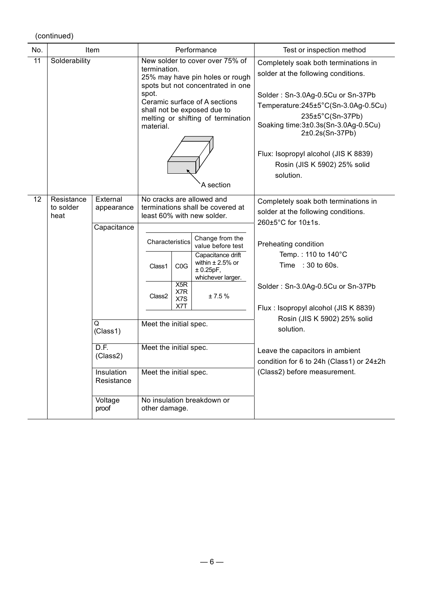| No.             | Item                                                                                                                                                          |  | Performance                                                                                                                                                                                                                                                                                   |                                              |                                                                                                                                                                                                  | Test or inspection method                                                                                                                                                                                                                                                                                                                                                                                      |
|-----------------|---------------------------------------------------------------------------------------------------------------------------------------------------------------|--|-----------------------------------------------------------------------------------------------------------------------------------------------------------------------------------------------------------------------------------------------------------------------------------------------|----------------------------------------------|--------------------------------------------------------------------------------------------------------------------------------------------------------------------------------------------------|----------------------------------------------------------------------------------------------------------------------------------------------------------------------------------------------------------------------------------------------------------------------------------------------------------------------------------------------------------------------------------------------------------------|
| $\overline{11}$ | Solderability                                                                                                                                                 |  | New solder to cover over 75% of<br>termination.<br>25% may have pin holes or rough<br>spots but not concentrated in one<br>spot.<br>Ceramic surface of A sections<br>shall not be exposed due to<br>melting or shifting of termination<br>material.<br>A section<br>No cracks are allowed and |                                              |                                                                                                                                                                                                  | Completely soak both terminations in<br>solder at the following conditions.<br>Solder: Sn-3.0Ag-0.5Cu or Sn-37Pb<br>Temperature:245±5°C(Sn-3.0Ag-0.5Cu)<br>235±5°C(Sn-37Pb)<br>Soaking time:3±0.3s(Sn-3.0Ag-0.5Cu)<br>2±0.2s(Sn-37Pb)<br>Flux: Isopropyl alcohol (JIS K 8839)<br>Rosin (JIS K 5902) 25% solid<br>solution.                                                                                     |
| 12              | External<br>Resistance<br>to solder<br>appearance<br>heat<br>Capacitance<br>Q<br>(Class1)<br>D.F.<br>(Class2)<br>Insulation<br>Resistance<br>Voltage<br>proof |  | Characteristics<br>Class1<br>Class <sub>2</sub><br>Meet the initial spec.<br>Meet the initial spec.                                                                                                                                                                                           | COG<br>X <sub>5</sub> R<br>X7R<br>X7S<br>X7T | terminations shall be covered at<br>least 60% with new solder.<br>Change from the<br>value before test<br>Capacitance drift<br>within $\pm 2.5\%$ or<br>± 0.25pF,<br>whichever larger.<br>± 7.5% | Completely soak both terminations in<br>solder at the following conditions.<br>260±5°C for 10±1s.<br>Preheating condition<br>Temp.: 110 to 140°C<br>Time : 30 to 60s.<br>Solder: Sn-3.0Ag-0.5Cu or Sn-37Pb<br>Flux: Isopropyl alcohol (JIS K 8839)<br>Rosin (JIS K 5902) 25% solid<br>solution.<br>Leave the capacitors in ambient<br>condition for 6 to 24h (Class1) or 24±2h<br>(Class2) before measurement. |
|                 |                                                                                                                                                               |  | Meet the initial spec.<br>No insulation breakdown or<br>other damage.                                                                                                                                                                                                                         |                                              |                                                                                                                                                                                                  |                                                                                                                                                                                                                                                                                                                                                                                                                |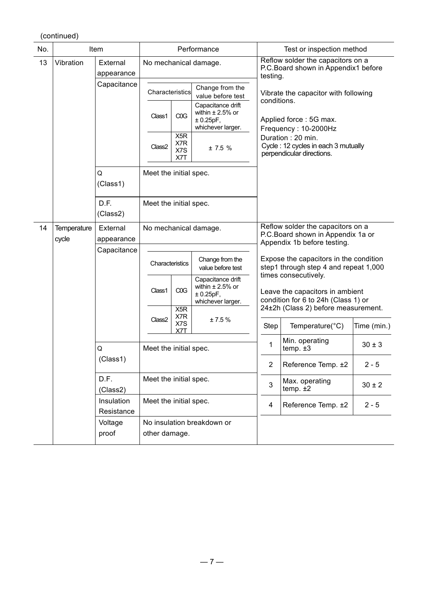| No. | Item                        |                                             | Performance                                      |                                       |                                                                              | Test or inspection method                           |                                                                                                                                         |                                     |  |
|-----|-----------------------------|---------------------------------------------|--------------------------------------------------|---------------------------------------|------------------------------------------------------------------------------|-----------------------------------------------------|-----------------------------------------------------------------------------------------------------------------------------------------|-------------------------------------|--|
| 13  | Vibration                   | External<br>appearance                      |                                                  |                                       | No mechanical damage.                                                        | Reflow solder the capacitors on a<br>testing.       | P.C.Board shown in Appendix1 before                                                                                                     |                                     |  |
|     |                             | Capacitance                                 | Characteristics                                  |                                       | Change from the<br>value before test                                         | Vibrate the capacitor with following<br>conditions. |                                                                                                                                         |                                     |  |
|     |                             |                                             | Class1                                           | COG                                   | Capacitance drift<br>within $\pm 2.5\%$ or<br>± 0.25pF,<br>whichever larger. |                                                     | Applied force: 5G max.<br>Frequency: 10-2000Hz<br>Duration: 20 min.<br>Cycle: 12 cycles in each 3 mutually<br>perpendicular directions. |                                     |  |
|     |                             |                                             | Class <sub>2</sub>                               | X <sub>5</sub> R<br>X7R<br>X7S<br>X7T | ± 7.5%                                                                       |                                                     |                                                                                                                                         |                                     |  |
|     |                             | Q<br>(Class1)                               | Meet the initial spec.                           |                                       |                                                                              |                                                     |                                                                                                                                         |                                     |  |
|     |                             | D.F.<br>(Class2)                            | Meet the initial spec.                           |                                       |                                                                              |                                                     |                                                                                                                                         |                                     |  |
| 14  | <b>Temperature</b><br>cycle | External<br>appearance                      | No mechanical damage.                            |                                       |                                                                              |                                                     | Reflow solder the capacitors on a<br>P.C.Board shown in Appendix 1a or<br>Appendix 1b before testing.                                   |                                     |  |
|     |                             | Capacitance                                 | Characteristics                                  |                                       | Change from the<br>value before test                                         |                                                     | Expose the capacitors in the condition<br>step1 through step 4 and repeat 1,000                                                         |                                     |  |
|     |                             |                                             | Class1                                           | COG                                   | Capacitance drift<br>within $\pm 2.5\%$ or<br>± 0.25pF,<br>whichever larger. |                                                     | times consecutively.<br>Leave the capacitors in ambient<br>condition for 6 to 24h (Class 1) or                                          |                                     |  |
|     |                             |                                             |                                                  | Class <sub>2</sub>                    | X <sub>5</sub> R<br>X7R<br>X7S                                               | ±7.5%                                               |                                                                                                                                         | 24±2h (Class 2) before measurement. |  |
|     |                             |                                             | X7T                                              |                                       | <b>Step</b>                                                                  | Temperature(°C)                                     | Time (min.)                                                                                                                             |                                     |  |
|     |                             | Q                                           | Meet the initial spec.                           |                                       |                                                                              | 1                                                   | Min. operating<br>temp. $±3$                                                                                                            | $30 \pm 3$                          |  |
|     |                             | (Class1)                                    |                                                  |                                       | 2                                                                            | Reference Temp. ±2                                  | $2 - 5$                                                                                                                                 |                                     |  |
|     |                             | D.F.<br>(Class2)                            | Meet the initial spec.<br>Meet the initial spec. |                                       | 3                                                                            | Max. operating<br>temp. $±2$                        | $30 \pm 2$                                                                                                                              |                                     |  |
|     |                             | Insulation<br>Resistance                    |                                                  |                                       | 4                                                                            | Reference Temp. ±2                                  | $2 - 5$                                                                                                                                 |                                     |  |
|     | Voltage<br>proof            | No insulation breakdown or<br>other damage. |                                                  |                                       |                                                                              |                                                     |                                                                                                                                         |                                     |  |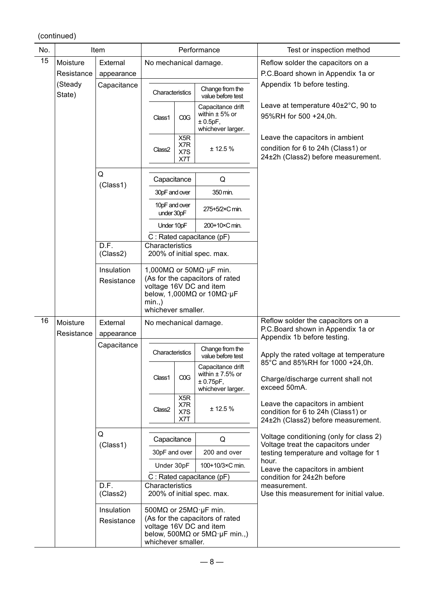| No. |                        | Item                          |                                | Performance                           |                                                                                                                                                              | Test or inspection method                                                                                   |         |
|-----|------------------------|-------------------------------|--------------------------------|---------------------------------------|--------------------------------------------------------------------------------------------------------------------------------------------------------------|-------------------------------------------------------------------------------------------------------------|---------|
| 15  | Moisture<br>Resistance | External<br>appearance        | No mechanical damage.          |                                       |                                                                                                                                                              | Reflow solder the capacitors on a<br>P.C.Board shown in Appendix 1a or                                      |         |
|     | (Steady<br>State)      | Capacitance                   | Characteristics                |                                       | Change from the<br>value before test                                                                                                                         | Appendix 1b before testing.                                                                                 |         |
|     |                        |                               | Class1                         | COG                                   | Capacitance drift<br>within $\pm$ 5% or<br>± 0.5pF,<br>whichever larger.                                                                                     | Leave at temperature 40±2°C, 90 to<br>95%RH for 500 +24,0h.                                                 |         |
|     |                        |                               | Class <sub>2</sub>             | X <sub>5</sub> R<br>X7R<br>X7S<br>X7T | ± 12.5%                                                                                                                                                      | Leave the capacitors in ambient<br>condition for 6 to 24h (Class1) or<br>24±2h (Class2) before measurement. |         |
|     |                        | Q                             |                                |                                       |                                                                                                                                                              |                                                                                                             |         |
|     |                        | (Class1)                      | Capacitance                    |                                       | Q                                                                                                                                                            |                                                                                                             |         |
|     |                        |                               | 30pF and over                  |                                       | 350 min.                                                                                                                                                     |                                                                                                             |         |
|     |                        |                               | 10pF and over<br>under 30pF    |                                       | 275+5/2×C min.                                                                                                                                               |                                                                                                             |         |
|     |                        |                               | Under 10pF                     |                                       | 200+10×C min.                                                                                                                                                |                                                                                                             |         |
|     |                        | D.F.                          |                                |                                       | C : Rated capacitance (pF)                                                                                                                                   |                                                                                                             |         |
|     |                        | (Class2)                      | Characteristics                |                                       | 200% of initial spec. max.                                                                                                                                   |                                                                                                             |         |
|     |                        | Insulation                    |                                |                                       | 1,000M $\Omega$ or 50M $\Omega$ · µF min.                                                                                                                    |                                                                                                             |         |
|     |                        | Resistance                    | $min.$ )<br>whichever smaller. |                                       | (As for the capacitors of rated<br>voltage 16V DC and item<br>below, 1,000M $\Omega$ or 10M $\Omega$ ·µF                                                     |                                                                                                             |         |
| 16  | Moisture               | External                      | No mechanical damage.          |                                       |                                                                                                                                                              | Reflow solder the capacitors on a                                                                           |         |
|     | Resistance             | appearance                    |                                |                                       |                                                                                                                                                              | P.C.Board shown in Appendix 1a or<br>Appendix 1b before testing.                                            |         |
|     |                        | Capacitance                   | Characteristics                |                                       | Change from the<br>value before test                                                                                                                         | Apply the rated voltage at temperature<br>85°C and 85%RH for 1000 +24,0h.                                   |         |
|     |                        |                               | Class1                         | COG                                   | Capacitance drift<br>within $\pm$ 7.5% or<br>± 0.75pF,<br>whichever larger.                                                                                  | Charge/discharge current shall not<br>exceed 50mA.                                                          |         |
|     |                        |                               |                                |                                       | Class <sub>2</sub>                                                                                                                                           | X5R<br>X7R<br>X7S<br>X7T                                                                                    | ± 12.5% |
|     |                        | Q                             | Capacitance                    |                                       | Q                                                                                                                                                            | Voltage conditioning (only for class 2)                                                                     |         |
|     |                        | (Class1)                      | 30pF and over                  |                                       | 200 and over                                                                                                                                                 | Voltage treat the capacitors under<br>testing temperature and voltage for 1                                 |         |
|     |                        |                               | Under 30pF                     |                                       | 100+10/3×C min.                                                                                                                                              | hour.                                                                                                       |         |
|     |                        |                               | $C:$ Rated capacitance (pF)    |                                       |                                                                                                                                                              | Leave the capacitors in ambient<br>condition for 24±2h before                                               |         |
|     |                        | $\overline{D.F.}$<br>(Class2) | Characteristics                |                                       | 200% of initial spec. max.                                                                                                                                   | measurement.<br>Use this measurement for initial value.                                                     |         |
|     |                        | Insulation<br>Resistance      | whichever smaller.             |                                       | 500M $\Omega$ or 25M $\Omega$ · $\mu$ F min.<br>(As for the capacitors of rated<br>voltage 16V DC and item<br>below, 500M $\Omega$ or 5M $\Omega$ ·µF min.,) |                                                                                                             |         |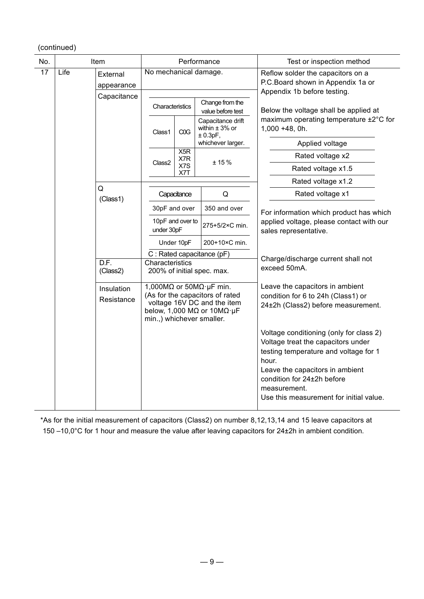| No. | Item |                          |                                |             | Performance                                                                                                                                                      | Test or inspection method                                                                                                                                                                                                                                   |
|-----|------|--------------------------|--------------------------------|-------------|------------------------------------------------------------------------------------------------------------------------------------------------------------------|-------------------------------------------------------------------------------------------------------------------------------------------------------------------------------------------------------------------------------------------------------------|
| 17  | Life | External<br>appearance   | No mechanical damage.          |             |                                                                                                                                                                  | Reflow solder the capacitors on a<br>P.C.Board shown in Appendix 1a or                                                                                                                                                                                      |
|     |      | Capacitance              | Characteristics                |             | Change from the                                                                                                                                                  | Appendix 1b before testing.<br>Below the voltage shall be applied at                                                                                                                                                                                        |
|     |      |                          | Class1                         | COG         | value before test<br>Capacitance drift<br>within $\pm$ 3% or<br>± 0.3pF,                                                                                         | maximum operating temperature ±2°C for<br>1,000 +48, 0h.                                                                                                                                                                                                    |
|     |      |                          |                                |             | whichever larger.                                                                                                                                                | Applied voltage                                                                                                                                                                                                                                             |
|     |      |                          |                                | X5R<br>X7R  | ± 15%                                                                                                                                                            | Rated voltage x2                                                                                                                                                                                                                                            |
|     |      |                          | Class2                         | X7S<br>X7T  |                                                                                                                                                                  | Rated voltage x1.5                                                                                                                                                                                                                                          |
|     |      |                          |                                |             |                                                                                                                                                                  | Rated voltage x1.2                                                                                                                                                                                                                                          |
|     |      | Q<br>(Class1)            |                                | Capacitance | Q                                                                                                                                                                | Rated voltage x1                                                                                                                                                                                                                                            |
|     |      |                          | 30pF and over                  |             | 350 and over                                                                                                                                                     | For information which product has which                                                                                                                                                                                                                     |
|     |      |                          | 10pF and over to<br>under 30pF |             | 275+5/2×C min.                                                                                                                                                   | applied voltage, please contact with our<br>sales representative.                                                                                                                                                                                           |
|     |      |                          |                                | Under 10pF  | 200+10×C min.                                                                                                                                                    |                                                                                                                                                                                                                                                             |
|     |      |                          | C: Rated capacitance (pF)      |             |                                                                                                                                                                  | Charge/discharge current shall not                                                                                                                                                                                                                          |
|     |      | D.F.<br>(Class2)         | Characteristics                |             | 200% of initial spec. max.                                                                                                                                       | exceed 50mA.                                                                                                                                                                                                                                                |
|     |      | Insulation<br>Resistance | min.,) whichever smaller.      |             | 1,000M $\Omega$ or 50M $\Omega$ · µF min.<br>(As for the capacitors of rated<br>voltage 16V DC and the item<br>below, 1,000 M $\Omega$ or 10M $\Omega$ · $\mu$ F | Leave the capacitors in ambient<br>condition for 6 to 24h (Class1) or<br>24±2h (Class2) before measurement.                                                                                                                                                 |
|     |      |                          |                                |             |                                                                                                                                                                  | Voltage conditioning (only for class 2)<br>Voltage treat the capacitors under<br>testing temperature and voltage for 1<br>hour.<br>Leave the capacitors in ambient<br>condition for 24±2h before<br>measurement.<br>Use this measurement for initial value. |

\*As for the initial measurement of capacitors (Class2) on number 8,12,13,14 and 15 leave capacitors at 150 –10,0°C for 1 hour and measure the value after leaving capacitors for 24±2h in ambient condition.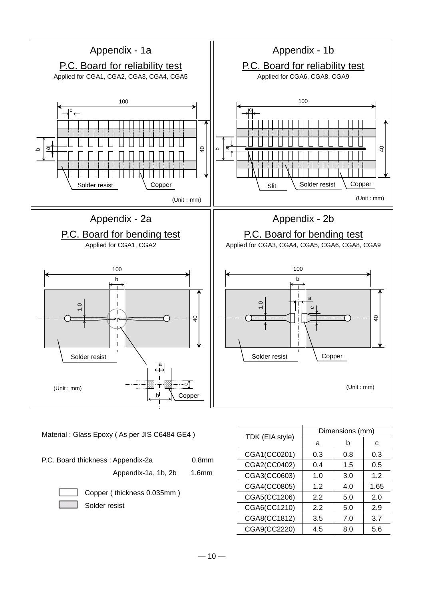

Material : Glass Epoxy ( As per JIS C6484 GE4 )

P.C. Board thickness : Appendix-2a 0.8mm

Appendix-1a, 1b, 2b 1.6mm

Copper ( thickness 0.035mm ) Solder resist

| TDK (EIA style) | Dimensions (mm) |     |      |  |  |  |
|-----------------|-----------------|-----|------|--|--|--|
|                 | a               | b   | С    |  |  |  |
| CGA1(CC0201)    | 0.3             | 0.8 | 0.3  |  |  |  |
| CGA2(CC0402)    | 0.4             | 1.5 | 0.5  |  |  |  |
| CGA3(CC0603)    | 1.0             | 3.0 | 1.2  |  |  |  |
| CGA4(CC0805)    | 1.2             | 4.0 | 1.65 |  |  |  |
| CGA5(CC1206)    | 2.2             | 5.0 | 2.0  |  |  |  |
| CGA6(CC1210)    | 2.2             | 5.0 | 2.9  |  |  |  |
| CGA8(CC1812)    | 3.5             | 7.0 | 3.7  |  |  |  |
| CGA9(CC2220)    | 4.5             | 8.0 | 5.6  |  |  |  |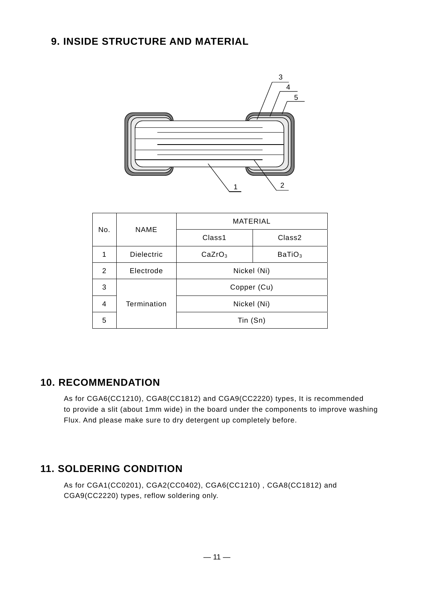# **9. INSIDE STRUCTURE AND MATERIAL**



| No. | <b>NAME</b>       | <b>MATERIAL</b>    |                    |  |  |  |
|-----|-------------------|--------------------|--------------------|--|--|--|
|     |                   | Class1             | Class <sub>2</sub> |  |  |  |
|     | <b>Dielectric</b> | CaZrO <sub>3</sub> | BaTiO <sub>3</sub> |  |  |  |
| 2   | Electrode         | Nickel (Ni)        |                    |  |  |  |
| 3   |                   | Copper (Cu)        |                    |  |  |  |
| 4   | Termination       | Nickel (Ni)        |                    |  |  |  |
| 5   |                   | Tin (Sn)           |                    |  |  |  |

# **10. RECOMMENDATION**

As for CGA6(CC1210), CGA8(CC1812) and CGA9(CC2220) types, It is recommended to provide a slit (about 1mm wide) in the board under the components to improve washing Flux. And please make sure to dry detergent up completely before.

# **11. SOLDERING CONDITION**

As for CGA1(CC0201), CGA2(CC0402), CGA6(CC1210) , CGA8(CC1812) and CGA9(CC2220) types, reflow soldering only.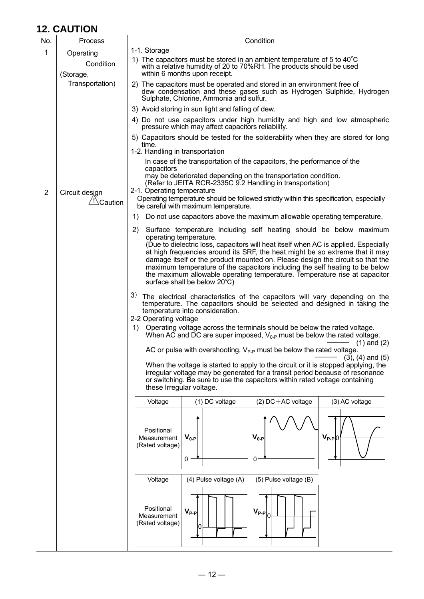# **12. CAUTION**

| No.            | Process                             | Condition                                                                                                                                                                                                                                                                                                                                                                                                                                                     |  |  |  |  |  |  |
|----------------|-------------------------------------|---------------------------------------------------------------------------------------------------------------------------------------------------------------------------------------------------------------------------------------------------------------------------------------------------------------------------------------------------------------------------------------------------------------------------------------------------------------|--|--|--|--|--|--|
| 1              | Operating<br>Condition<br>(Storage, | 1-1. Storage<br>1) The capacitors must be stored in an ambient temperature of 5 to $40^{\circ}$ C<br>with a relative humidity of 20 to 70%RH. The products should be used<br>within 6 months upon receipt.                                                                                                                                                                                                                                                    |  |  |  |  |  |  |
|                | Transportation)                     | 2) The capacitors must be operated and stored in an environment free of<br>dew condensation and these gases such as Hydrogen Sulphide, Hydrogen<br>Sulphate, Chlorine, Ammonia and sulfur.                                                                                                                                                                                                                                                                    |  |  |  |  |  |  |
|                |                                     | 3) Avoid storing in sun light and falling of dew.                                                                                                                                                                                                                                                                                                                                                                                                             |  |  |  |  |  |  |
|                |                                     | 4) Do not use capacitors under high humidity and high and low atmospheric<br>pressure which may affect capacitors reliability.                                                                                                                                                                                                                                                                                                                                |  |  |  |  |  |  |
|                |                                     | 5) Capacitors should be tested for the solderability when they are stored for long<br>time.                                                                                                                                                                                                                                                                                                                                                                   |  |  |  |  |  |  |
|                |                                     | 1-2. Handling in transportation<br>In case of the transportation of the capacitors, the performance of the                                                                                                                                                                                                                                                                                                                                                    |  |  |  |  |  |  |
|                |                                     | capacitors<br>may be deteriorated depending on the transportation condition.<br>(Refer to JEITA RCR-2335C 9.2 Handling in transportation)                                                                                                                                                                                                                                                                                                                     |  |  |  |  |  |  |
| $\overline{2}$ | Circuit design<br>/!∆Caution        | 2-1. Operating temperature<br>Operating temperature should be followed strictly within this specification, especially<br>be careful with maximum temperature.                                                                                                                                                                                                                                                                                                 |  |  |  |  |  |  |
|                |                                     | Do not use capacitors above the maximum allowable operating temperature.<br>1)                                                                                                                                                                                                                                                                                                                                                                                |  |  |  |  |  |  |
|                |                                     | Surface temperature including self heating should be below maximum<br>2)<br>operating temperature.                                                                                                                                                                                                                                                                                                                                                            |  |  |  |  |  |  |
|                |                                     | (Due to dielectric loss, capacitors will heat itself when AC is applied. Especially<br>at high frequencies around its SRF, the heat might be so extreme that it may<br>damage itself or the product mounted on. Please design the circuit so that the<br>maximum temperature of the capacitors including the self heating to be below<br>the maximum allowable operating temperature. Temperature rise at capacitor<br>surface shall be below $20^{\circ}$ C) |  |  |  |  |  |  |
|                |                                     | 3) The electrical characteristics of the capacitors will vary depending on the<br>temperature. The capacitors should be selected and designed in taking the<br>temperature into consideration.<br>2-2 Operating voltage<br>1)<br>Operating voltage across the terminals should be below the rated voltage.                                                                                                                                                    |  |  |  |  |  |  |
|                |                                     | When AC and DC are super imposed, $V_{0,P}$ must be below the rated voltage.                                                                                                                                                                                                                                                                                                                                                                                  |  |  |  |  |  |  |
|                |                                     | $(1)$ and $(2)$<br>AC or pulse with overshooting, V <sub>P-P</sub> must be below the rated voltage<br>$(3)$ , $(4)$ and $(5)$                                                                                                                                                                                                                                                                                                                                 |  |  |  |  |  |  |
|                |                                     | When the voltage is started to apply to the circuit or it is stopped applying, the<br>irregular voltage may be generated for a transit period because of resonance<br>or switching. Be sure to use the capacitors within rated voltage containing<br>these Irregular voltage.                                                                                                                                                                                 |  |  |  |  |  |  |
|                |                                     | (1) DC voltage<br>$(2)$ DC + AC voltage<br>(3) AC voltage<br>Voltage                                                                                                                                                                                                                                                                                                                                                                                          |  |  |  |  |  |  |
|                |                                     | Positional<br>$V_{0-P}$<br>$V_{0-P}$<br>$V_{P-P}$ 0<br>Measurement<br>(Rated voltage)<br>0<br>0                                                                                                                                                                                                                                                                                                                                                               |  |  |  |  |  |  |
|                |                                     | Voltage<br>(4) Pulse voltage (A)<br>(5) Pulse voltage (B)                                                                                                                                                                                                                                                                                                                                                                                                     |  |  |  |  |  |  |
|                |                                     | Positional<br>$V_{P-P}$<br>$V_{P-P}$<br>Measurement<br>(Rated voltage)                                                                                                                                                                                                                                                                                                                                                                                        |  |  |  |  |  |  |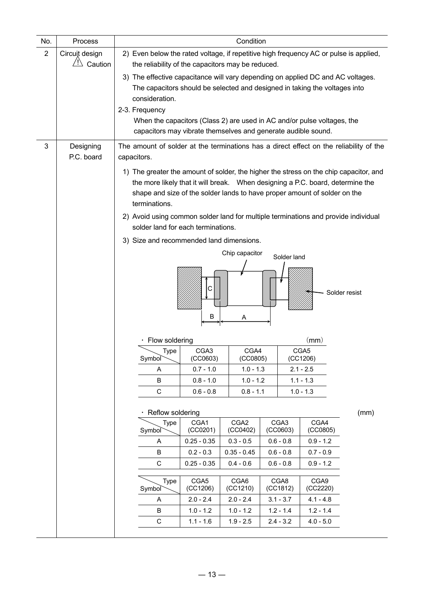| No.            | Process                   | Condition                                                                                                                                                                                                                                                                                                                                     |                                                                                                                                                                                                                                                      |                              |  |                              |                  |      |  |  |
|----------------|---------------------------|-----------------------------------------------------------------------------------------------------------------------------------------------------------------------------------------------------------------------------------------------------------------------------------------------------------------------------------------------|------------------------------------------------------------------------------------------------------------------------------------------------------------------------------------------------------------------------------------------------------|------------------------------|--|------------------------------|------------------|------|--|--|
| $\overline{2}$ | Circuit design<br>Caution |                                                                                                                                                                                                                                                                                                                                               | 2) Even below the rated voltage, if repetitive high frequency AC or pulse is applied,<br>the reliability of the capacitors may be reduced.                                                                                                           |                              |  |                              |                  |      |  |  |
|                |                           | 3) The effective capacitance will vary depending on applied DC and AC voltages.<br>The capacitors should be selected and designed in taking the voltages into<br>consideration.<br>2-3. Frequency<br>When the capacitors (Class 2) are used in AC and/or pulse voltages, the<br>capacitors may vibrate themselves and generate audible sound. |                                                                                                                                                                                                                                                      |                              |  |                              |                  |      |  |  |
| 3              | Designing<br>P.C. board   | The amount of solder at the terminations has a direct effect on the reliability of the<br>capacitors.                                                                                                                                                                                                                                         |                                                                                                                                                                                                                                                      |                              |  |                              |                  |      |  |  |
|                |                           | terminations.                                                                                                                                                                                                                                                                                                                                 | 1) The greater the amount of solder, the higher the stress on the chip capacitor, and<br>the more likely that it will break. When designing a P.C. board, determine the<br>shape and size of the solder lands to have proper amount of solder on the |                              |  |                              |                  |      |  |  |
|                |                           | 2) Avoid using common solder land for multiple terminations and provide individual<br>solder land for each terminations.                                                                                                                                                                                                                      |                                                                                                                                                                                                                                                      |                              |  |                              |                  |      |  |  |
|                |                           | 3) Size and recommended land dimensions.                                                                                                                                                                                                                                                                                                      |                                                                                                                                                                                                                                                      |                              |  |                              |                  |      |  |  |
|                |                           |                                                                                                                                                                                                                                                                                                                                               |                                                                                                                                                                                                                                                      | Chip capacitor               |  | Solder land                  |                  |      |  |  |
|                |                           | С<br>Solder resist<br>B<br>A                                                                                                                                                                                                                                                                                                                  |                                                                                                                                                                                                                                                      |                              |  |                              |                  |      |  |  |
|                |                           | Flow soldering                                                                                                                                                                                                                                                                                                                                |                                                                                                                                                                                                                                                      |                              |  |                              | $\mathsf{(mm)}$  |      |  |  |
|                |                           | Type<br>Symbol                                                                                                                                                                                                                                                                                                                                | CGA <sub>3</sub><br>(CC0603)                                                                                                                                                                                                                         | CGA4<br>(CCO805)             |  |                              | CGA5<br>(CC1206) |      |  |  |
|                |                           | Α                                                                                                                                                                                                                                                                                                                                             | $0.7 - 1.0$                                                                                                                                                                                                                                          | $1.0 - 1.3$                  |  |                              | $2.1 - 2.5$      |      |  |  |
|                |                           | B                                                                                                                                                                                                                                                                                                                                             | $0.8 - 1.0$                                                                                                                                                                                                                                          | $1.0 - 1.2$                  |  |                              | $1.1 - 1.3$      |      |  |  |
|                |                           | $\mathbf C$                                                                                                                                                                                                                                                                                                                                   | $0.6 - 0.8$                                                                                                                                                                                                                                          | $0.8 - 1.1$                  |  |                              | $1.0 - 1.3$      |      |  |  |
|                |                           | Reflow soldering                                                                                                                                                                                                                                                                                                                              |                                                                                                                                                                                                                                                      |                              |  |                              |                  | (mm) |  |  |
|                |                           | Type<br>Symbol                                                                                                                                                                                                                                                                                                                                | CGA1<br>(CCO201)                                                                                                                                                                                                                                     | CGA <sub>2</sub><br>(CCO402) |  | CGA <sub>3</sub><br>(CCO603) | CGA4<br>(CCO805) |      |  |  |
|                |                           | A                                                                                                                                                                                                                                                                                                                                             | $0.25 - 0.35$                                                                                                                                                                                                                                        | $0.3 - 0.5$                  |  | $0.6 - 0.8$                  | $0.9 - 1.2$      |      |  |  |
|                |                           |                                                                                                                                                                                                                                                                                                                                               | B<br>$0.2 - 0.3$<br>$0.35 - 0.45$<br>$0.6 - 0.8$<br>$0.7 - 0.9$                                                                                                                                                                                      |                              |  |                              |                  |      |  |  |
|                |                           | $\mathsf C$                                                                                                                                                                                                                                                                                                                                   | $0.25 - 0.35$                                                                                                                                                                                                                                        | $0.4 - 0.6$                  |  | $0.6 - 0.8$                  | $0.9 - 1.2$      |      |  |  |
|                |                           | Type<br>Symbol                                                                                                                                                                                                                                                                                                                                | CGA5<br>(CC1206)                                                                                                                                                                                                                                     | CGA6<br>(CC1210)             |  | CGA8<br>(CC1812)             | CGA9<br>(CC2220) |      |  |  |
|                |                           | Α                                                                                                                                                                                                                                                                                                                                             | $2.0 - 2.4$                                                                                                                                                                                                                                          | $2.0 - 2.4$                  |  | $3.1 - 3.7$                  | $4.1 - 4.8$      |      |  |  |
|                |                           | B                                                                                                                                                                                                                                                                                                                                             | $1.0 - 1.2$                                                                                                                                                                                                                                          | $1.0 - 1.2$                  |  | $1.2 - 1.4$                  | $1.2 - 1.4$      |      |  |  |
|                |                           | $\mathsf C$                                                                                                                                                                                                                                                                                                                                   | $1.1 - 1.6$                                                                                                                                                                                                                                          | $1.9 - 2.5$                  |  | $2.4 - 3.2$                  | $4.0 - 5.0$      |      |  |  |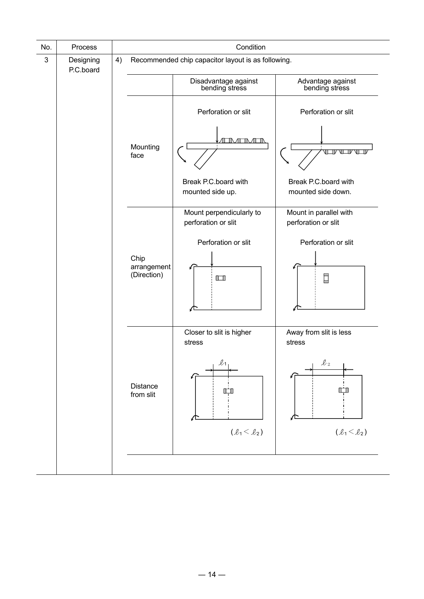| Process                      |                     |                              | Condition                                       |                                                    |  |  |  |  |
|------------------------------|---------------------|------------------------------|-------------------------------------------------|----------------------------------------------------|--|--|--|--|
| 4)<br>Designing<br>P.C.board |                     |                              |                                                 |                                                    |  |  |  |  |
|                              |                     |                              | Disadvantage against<br>bending stress          | Advantage against<br>bending stress                |  |  |  |  |
|                              |                     |                              | Perforation or slit                             | Perforation or slit                                |  |  |  |  |
|                              |                     | Mounting<br>face             | 1 EINA TIMATTA                                  | VLIV VI T                                          |  |  |  |  |
|                              |                     |                              | Break P.C.board with<br>mounted side up.        | Break P.C.board with<br>mounted side down.         |  |  |  |  |
|                              |                     |                              | Mount perpendicularly to<br>perforation or slit | Mount in parallel with<br>perforation or slit      |  |  |  |  |
|                              |                     |                              | Perforation or slit                             | Perforation or slit                                |  |  |  |  |
|                              | Chip<br>(Direction) | arrangement                  | $\Box$                                          | $\Box$                                             |  |  |  |  |
|                              |                     |                              | Closer to slit is higher<br>stress              | Away from slit is less<br>stress                   |  |  |  |  |
|                              |                     | <b>Distance</b><br>from slit | $\ell_1$<br>IГ                                  | $\ell_2$<br>l T                                    |  |  |  |  |
|                              |                     |                              |                                                 | Recommended chip capacitor layout is as following. |  |  |  |  |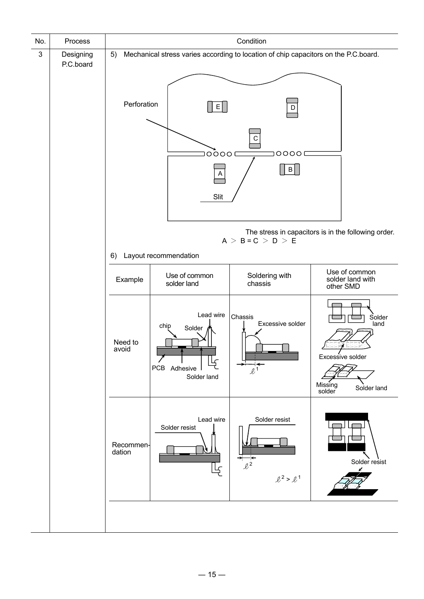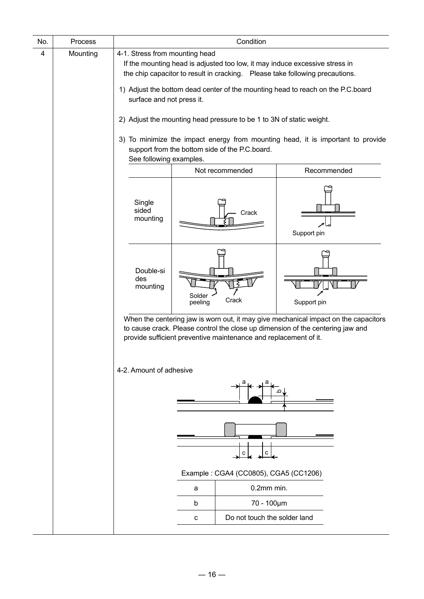|   | Process  | Condition                                                   |                                                                                                                                                                                                                                                                                                                                                                                                                                                              |             |  |  |  |  |  |
|---|----------|-------------------------------------------------------------|--------------------------------------------------------------------------------------------------------------------------------------------------------------------------------------------------------------------------------------------------------------------------------------------------------------------------------------------------------------------------------------------------------------------------------------------------------------|-------------|--|--|--|--|--|
| 4 | Mounting | 4-1. Stress from mounting head<br>surface and not press it. | If the mounting head is adjusted too low, it may induce excessive stress in<br>the chip capacitor to result in cracking.  Please take following precautions.<br>1) Adjust the bottom dead center of the mounting head to reach on the P.C.board<br>2) Adjust the mounting head pressure to be 1 to 3N of static weight.<br>3) To minimize the impact energy from mounting head, it is important to provide<br>support from the bottom side of the P.C.board. |             |  |  |  |  |  |
|   |          |                                                             | See following examples.                                                                                                                                                                                                                                                                                                                                                                                                                                      |             |  |  |  |  |  |
|   |          |                                                             | Not recommended                                                                                                                                                                                                                                                                                                                                                                                                                                              | Recommended |  |  |  |  |  |
|   |          | Single<br>sided<br>mounting                                 | Crack                                                                                                                                                                                                                                                                                                                                                                                                                                                        | Support pin |  |  |  |  |  |
|   |          | Double-si<br>des<br>mounting                                | Solder<br>Crack<br>peeling                                                                                                                                                                                                                                                                                                                                                                                                                                   | Support pin |  |  |  |  |  |
|   |          |                                                             | When the centering jaw is worn out, it may give mechanical impact on the capacitors<br>to cause crack. Please control the close up dimension of the centering jaw and<br>provide sufficient preventive maintenance and replacement of it.                                                                                                                                                                                                                    |             |  |  |  |  |  |
|   |          |                                                             |                                                                                                                                                                                                                                                                                                                                                                                                                                                              |             |  |  |  |  |  |
|   |          | 4-2. Amount of adhesive                                     |                                                                                                                                                                                                                                                                                                                                                                                                                                                              |             |  |  |  |  |  |
|   |          |                                                             |                                                                                                                                                                                                                                                                                                                                                                                                                                                              |             |  |  |  |  |  |
|   |          |                                                             | Example: CGA4 (CC0805), CGA5 (CC1206)                                                                                                                                                                                                                                                                                                                                                                                                                        |             |  |  |  |  |  |
|   |          |                                                             | 0.2mm min.<br>a                                                                                                                                                                                                                                                                                                                                                                                                                                              |             |  |  |  |  |  |
|   |          |                                                             | 70 - 100µm<br>b                                                                                                                                                                                                                                                                                                                                                                                                                                              |             |  |  |  |  |  |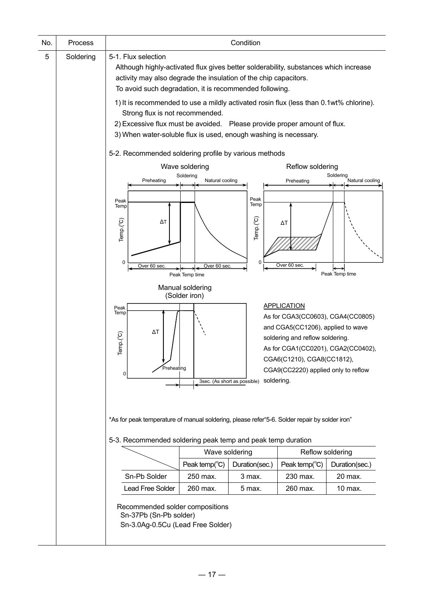| No. | Process   | Condition                                                                                                                                                                                                                                                                                                                                                                                                                                           |                                                                                                     |                                                                           |                                                                                                                                                                                                                                                                               |                                                |  |  |  |  |
|-----|-----------|-----------------------------------------------------------------------------------------------------------------------------------------------------------------------------------------------------------------------------------------------------------------------------------------------------------------------------------------------------------------------------------------------------------------------------------------------------|-----------------------------------------------------------------------------------------------------|---------------------------------------------------------------------------|-------------------------------------------------------------------------------------------------------------------------------------------------------------------------------------------------------------------------------------------------------------------------------|------------------------------------------------|--|--|--|--|
| 5   | Soldering | 5-1. Flux selection<br>Although highly-activated flux gives better solderability, substances which increase<br>activity may also degrade the insulation of the chip capacitors.<br>To avoid such degradation, it is recommended following.<br>1) It is recommended to use a mildly activated rosin flux (less than 0.1wt% chlorine).<br>Strong flux is not recommended.<br>2) Excessive flux must be avoided. Please provide proper amount of flux. |                                                                                                     |                                                                           |                                                                                                                                                                                                                                                                               |                                                |  |  |  |  |
|     |           | 3) When water-soluble flux is used, enough washing is necessary.                                                                                                                                                                                                                                                                                                                                                                                    |                                                                                                     |                                                                           |                                                                                                                                                                                                                                                                               |                                                |  |  |  |  |
|     |           |                                                                                                                                                                                                                                                                                                                                                                                                                                                     | 5-2. Recommended soldering profile by various methods<br>Wave soldering<br>Reflow soldering         |                                                                           |                                                                                                                                                                                                                                                                               |                                                |  |  |  |  |
|     |           | Preheating<br>Peak<br>Temp<br>Temp.(°C)<br>ΔТ<br>0<br>Over 60 sec<br>Peak<br>Temp<br>$\Delta T$<br>Temp.(°C)<br>Preheating<br>0                                                                                                                                                                                                                                                                                                                     | Soldering<br>Natural cooling<br>Over 60 sec.<br>Peak Temp time<br>Manual soldering<br>(Solder iron) | Peak<br>Temp<br>Temp.(°C)<br>0<br>3sec. (As short as possible) Soldering. | Preheating<br>ΔΤ<br>Over 60 sec<br><b>APPLICATION</b><br>As for CGA3(CC0603), CGA4(CC0805)<br>and CGA5(CC1206), applied to wave<br>soldering and reflow soldering.<br>As for CGA1(CC0201), CGA2(CC0402),<br>CGA6(C1210), CGA8(CC1812),<br>CGA9(CC2220) applied only to reflow | Soldering<br>Natural cooling<br>Peak Temp time |  |  |  |  |
|     |           | *As for peak temperature of manual soldering, please refer "5-6. Solder repair by solder iron"                                                                                                                                                                                                                                                                                                                                                      |                                                                                                     |                                                                           |                                                                                                                                                                                                                                                                               |                                                |  |  |  |  |
|     |           | 5-3. Recommended soldering peak temp and peak temp duration                                                                                                                                                                                                                                                                                                                                                                                         |                                                                                                     |                                                                           |                                                                                                                                                                                                                                                                               |                                                |  |  |  |  |
|     |           | Wave soldering<br>Reflow soldering                                                                                                                                                                                                                                                                                                                                                                                                                  |                                                                                                     |                                                                           |                                                                                                                                                                                                                                                                               |                                                |  |  |  |  |
|     |           |                                                                                                                                                                                                                                                                                                                                                                                                                                                     | Peak temp( $\degree$ C)                                                                             | Duration(sec.)                                                            | Peak temp( $^{\circ}$ C)                                                                                                                                                                                                                                                      | Duration(sec.)                                 |  |  |  |  |
|     |           | Sn-Pb Solder                                                                                                                                                                                                                                                                                                                                                                                                                                        | 250 max.                                                                                            | 3 max.                                                                    | 230 max.                                                                                                                                                                                                                                                                      | 20 max.                                        |  |  |  |  |
|     |           | <b>Lead Free Solder</b>                                                                                                                                                                                                                                                                                                                                                                                                                             | 260 max.                                                                                            | 5 max.                                                                    | 260 max.                                                                                                                                                                                                                                                                      | 10 max.                                        |  |  |  |  |
|     |           | Recommended solder compositions<br>Sn-37Pb (Sn-Pb solder)<br>Sn-3.0Ag-0.5Cu (Lead Free Solder)                                                                                                                                                                                                                                                                                                                                                      |                                                                                                     |                                                                           |                                                                                                                                                                                                                                                                               |                                                |  |  |  |  |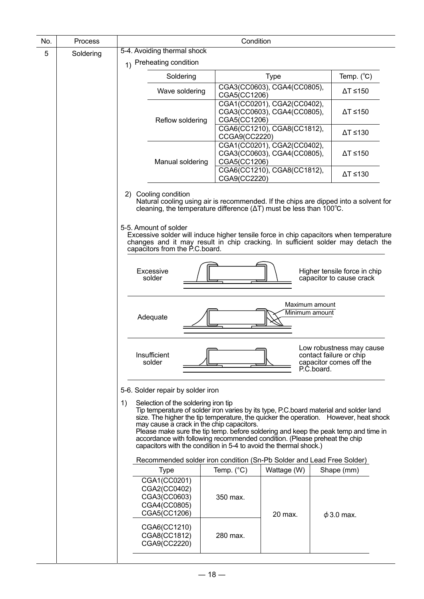| No. | Process   | Condition                                                                              |                                                                                                                                                                                                                                                                                                                                                                                                                       |                                                                                              |  |  |  |
|-----|-----------|----------------------------------------------------------------------------------------|-----------------------------------------------------------------------------------------------------------------------------------------------------------------------------------------------------------------------------------------------------------------------------------------------------------------------------------------------------------------------------------------------------------------------|----------------------------------------------------------------------------------------------|--|--|--|
| 5   | Soldering | 5-4. Avoiding thermal shock                                                            |                                                                                                                                                                                                                                                                                                                                                                                                                       |                                                                                              |  |  |  |
|     |           | 1) Preheating condition                                                                |                                                                                                                                                                                                                                                                                                                                                                                                                       |                                                                                              |  |  |  |
|     |           | Soldering                                                                              | <b>Type</b>                                                                                                                                                                                                                                                                                                                                                                                                           | Temp. $(^{\circ}C)$                                                                          |  |  |  |
|     |           | Wave soldering                                                                         | CGA3(CC0603), CGA4(CC0805),<br>CGA5(CC1206)                                                                                                                                                                                                                                                                                                                                                                           | $\Delta T \le 150$                                                                           |  |  |  |
|     |           | Reflow soldering                                                                       | CGA1(CC0201), CGA2(CC0402),<br>CGA3(CC0603), CGA4(CC0805),<br>CGA5(CC1206)                                                                                                                                                                                                                                                                                                                                            | $\Delta T \le 150$                                                                           |  |  |  |
|     |           |                                                                                        | CGA6(CC1210), CGA8(CC1812),<br>CCGA9(CC2220)                                                                                                                                                                                                                                                                                                                                                                          | $\Delta$ T ≤130                                                                              |  |  |  |
|     |           | Manual soldering                                                                       | CGA1(CC0201), CGA2(CC0402),<br>CGA3(CC0603), CGA4(CC0805),<br>CGA5(CC1206)                                                                                                                                                                                                                                                                                                                                            | $\Delta$ T ≤150                                                                              |  |  |  |
|     |           |                                                                                        | CGA6(CC1210), CGA8(CC1812),<br>CGA9(CC2220)                                                                                                                                                                                                                                                                                                                                                                           | $\Delta T \leq 130$                                                                          |  |  |  |
|     |           | 2) Cooling condition<br>5-5. Amount of solder<br>capacitors from the P.C.board.        | Natural cooling using air is recommended. If the chips are dipped into a solvent for<br>cleaning, the temperature difference $(\Delta T)$ must be less than 100 $^{\circ}$ C.<br>Excessive solder will induce higher tensile force in chip capacitors when temperature<br>changes and it may result in chip cracking. In sufficient solder may detach the                                                             |                                                                                              |  |  |  |
|     |           | Excessive<br>solder                                                                    |                                                                                                                                                                                                                                                                                                                                                                                                                       | Higher tensile force in chip<br>capacitor to cause crack                                     |  |  |  |
|     |           | Adequate                                                                               | Maximum amount<br>Minimum amount                                                                                                                                                                                                                                                                                                                                                                                      |                                                                                              |  |  |  |
|     |           | Insufficient<br>solder                                                                 |                                                                                                                                                                                                                                                                                                                                                                                                                       | Low robustness may cause<br>contact failure or chip<br>capacitor comes off the<br>P.C.board. |  |  |  |
|     |           | 5-6. Solder repair by solder iron                                                      |                                                                                                                                                                                                                                                                                                                                                                                                                       |                                                                                              |  |  |  |
|     |           | Selection of the soldering iron tip<br>1)<br>may cause a crack in the chip capacitors. | Tip temperature of solder iron varies by its type, P.C.board material and solder land<br>size. The higher the tip temperature, the quicker the operation. However, heat shock<br>Please make sure the tip temp. before soldering and keep the peak temp and time in<br>accordance with following recommended condition. (Please preheat the chip<br>capacitors with the condition in 5-4 to avoid the thermal shock.) |                                                                                              |  |  |  |
|     |           |                                                                                        | Recommended solder iron condition (Sn-Pb Solder and Lead Free Solder)                                                                                                                                                                                                                                                                                                                                                 |                                                                                              |  |  |  |
|     |           | <b>Type</b>                                                                            | Temp. $(^{\circ}C)$<br>Wattage (W)                                                                                                                                                                                                                                                                                                                                                                                    | Shape (mm)                                                                                   |  |  |  |
|     |           | CGA1(CC0201)<br>CGA2(CC0402)<br>CGA3(CC0603)<br>CGA4(CC0805)<br>CGA5(CC1206)           | 350 max.<br>20 max.                                                                                                                                                                                                                                                                                                                                                                                                   | $\phi$ 3.0 max.                                                                              |  |  |  |
|     |           | CGA6(CC1210)<br>CGA8(CC1812)<br>CGA9(CC2220)                                           | 280 max.                                                                                                                                                                                                                                                                                                                                                                                                              |                                                                                              |  |  |  |
|     |           |                                                                                        |                                                                                                                                                                                                                                                                                                                                                                                                                       |                                                                                              |  |  |  |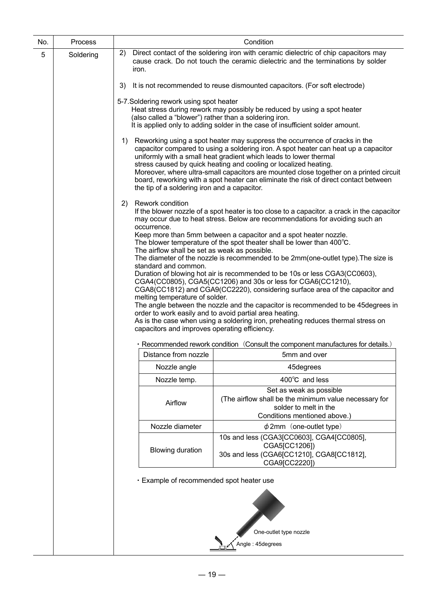| No. | Process   | Condition                                                                                                                                                                                                                                                                                                                                                                                                                                                                                                                                                                                                                                                                                                                                                                                                                                                                                                                                                       |
|-----|-----------|-----------------------------------------------------------------------------------------------------------------------------------------------------------------------------------------------------------------------------------------------------------------------------------------------------------------------------------------------------------------------------------------------------------------------------------------------------------------------------------------------------------------------------------------------------------------------------------------------------------------------------------------------------------------------------------------------------------------------------------------------------------------------------------------------------------------------------------------------------------------------------------------------------------------------------------------------------------------|
| 5   | Soldering | 2)<br>Direct contact of the soldering iron with ceramic dielectric of chip capacitors may<br>cause crack. Do not touch the ceramic dielectric and the terminations by solder<br>iron.                                                                                                                                                                                                                                                                                                                                                                                                                                                                                                                                                                                                                                                                                                                                                                           |
|     |           | It is not recommended to reuse dismounted capacitors. (For soft electrode)<br>3)                                                                                                                                                                                                                                                                                                                                                                                                                                                                                                                                                                                                                                                                                                                                                                                                                                                                                |
|     |           | 5-7. Soldering rework using spot heater<br>Heat stress during rework may possibly be reduced by using a spot heater<br>(also called a "blower") rather than a soldering iron.<br>It is applied only to adding solder in the case of insufficient solder amount.                                                                                                                                                                                                                                                                                                                                                                                                                                                                                                                                                                                                                                                                                                 |
|     |           | Reworking using a spot heater may suppress the occurrence of cracks in the<br>1)<br>capacitor compared to using a soldering iron. A spot heater can heat up a capacitor<br>uniformly with a small heat gradient which leads to lower thermal<br>stress caused by quick heating and cooling or localized heating.<br>Moreover, where ultra-small capacitors are mounted close together on a printed circuit<br>board, reworking with a spot heater can eliminate the risk of direct contact between<br>the tip of a soldering iron and a capacitor.                                                                                                                                                                                                                                                                                                                                                                                                              |
|     |           | Rework condition<br>2)<br>If the blower nozzle of a spot heater is too close to a capacitor. a crack in the capacitor<br>may occur due to heat stress. Below are recommendations for avoiding such an                                                                                                                                                                                                                                                                                                                                                                                                                                                                                                                                                                                                                                                                                                                                                           |
|     |           | occurrence.<br>Keep more than 5mm between a capacitor and a spot heater nozzle.<br>The blower temperature of the spot theater shall be lower than 400°C.<br>The airflow shall be set as weak as possible.<br>The diameter of the nozzle is recommended to be 2mm(one-outlet type). The size is<br>standard and common.<br>Duration of blowing hot air is recommended to be 10s or less CGA3(CC0603),<br>CGA4(CC0805), CGA5(CC1206) and 30s or less for CGA6(CC1210),<br>CGA8(CC1812) and CGA9(CC2220), considering surface area of the capacitor and<br>melting temperature of solder.<br>The angle between the nozzle and the capacitor is recommended to be 45 degrees in<br>order to work easily and to avoid partial area heating.<br>As is the case when using a soldering iron, preheating reduces thermal stress on<br>capacitors and improves operating efficiency.<br>· Recommended rework condition (Consult the component manufactures for details.) |
|     |           | Distance from nozzle<br>5mm and over                                                                                                                                                                                                                                                                                                                                                                                                                                                                                                                                                                                                                                                                                                                                                                                                                                                                                                                            |
|     |           | Nozzle angle<br>45degrees                                                                                                                                                                                                                                                                                                                                                                                                                                                                                                                                                                                                                                                                                                                                                                                                                                                                                                                                       |
|     |           | 400°C and less<br>Nozzle temp.                                                                                                                                                                                                                                                                                                                                                                                                                                                                                                                                                                                                                                                                                                                                                                                                                                                                                                                                  |
|     |           | Set as weak as possible<br>(The airflow shall be the minimum value necessary for<br>Airflow<br>solder to melt in the<br>Conditions mentioned above.)                                                                                                                                                                                                                                                                                                                                                                                                                                                                                                                                                                                                                                                                                                                                                                                                            |
|     |           | $\phi$ 2mm (one-outlet type)<br>Nozzle diameter                                                                                                                                                                                                                                                                                                                                                                                                                                                                                                                                                                                                                                                                                                                                                                                                                                                                                                                 |
|     |           | 10s and less (CGA3[CC0603], CGA4[CC0805],<br>CGA5[CC1206])<br><b>Blowing duration</b><br>30s and less (CGA6[CC1210], CGA8[CC1812],<br>CGA9[CC2220])                                                                                                                                                                                                                                                                                                                                                                                                                                                                                                                                                                                                                                                                                                                                                                                                             |
|     |           | · Example of recommended spot heater use                                                                                                                                                                                                                                                                                                                                                                                                                                                                                                                                                                                                                                                                                                                                                                                                                                                                                                                        |
|     |           | One-outlet type nozzle                                                                                                                                                                                                                                                                                                                                                                                                                                                                                                                                                                                                                                                                                                                                                                                                                                                                                                                                          |
|     |           | Angle: 45degrees                                                                                                                                                                                                                                                                                                                                                                                                                                                                                                                                                                                                                                                                                                                                                                                                                                                                                                                                                |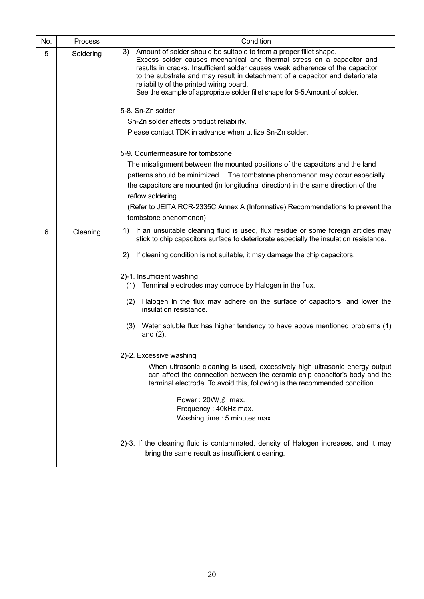| No. | Process   | Condition                                                                                                                                                                                                                                                                                                                                                                                                                                       |  |  |  |  |  |
|-----|-----------|-------------------------------------------------------------------------------------------------------------------------------------------------------------------------------------------------------------------------------------------------------------------------------------------------------------------------------------------------------------------------------------------------------------------------------------------------|--|--|--|--|--|
| 5   | Soldering | Amount of solder should be suitable to from a proper fillet shape.<br>3)<br>Excess solder causes mechanical and thermal stress on a capacitor and<br>results in cracks. Insufficient solder causes weak adherence of the capacitor<br>to the substrate and may result in detachment of a capacitor and deteriorate<br>reliability of the printed wiring board.<br>See the example of appropriate solder fillet shape for 5-5. Amount of solder. |  |  |  |  |  |
|     |           | 5-8. Sn-Zn solder                                                                                                                                                                                                                                                                                                                                                                                                                               |  |  |  |  |  |
|     |           | Sn-Zn solder affects product reliability.                                                                                                                                                                                                                                                                                                                                                                                                       |  |  |  |  |  |
|     |           | Please contact TDK in advance when utilize Sn-Zn solder.                                                                                                                                                                                                                                                                                                                                                                                        |  |  |  |  |  |
|     |           | 5-9. Countermeasure for tombstone                                                                                                                                                                                                                                                                                                                                                                                                               |  |  |  |  |  |
|     |           | The misalignment between the mounted positions of the capacitors and the land                                                                                                                                                                                                                                                                                                                                                                   |  |  |  |  |  |
|     |           | patterns should be minimized. The tombstone phenomenon may occur especially                                                                                                                                                                                                                                                                                                                                                                     |  |  |  |  |  |
|     |           | the capacitors are mounted (in longitudinal direction) in the same direction of the                                                                                                                                                                                                                                                                                                                                                             |  |  |  |  |  |
|     |           | reflow soldering.<br>(Refer to JEITA RCR-2335C Annex A (Informative) Recommendations to prevent the<br>tombstone phenomenon)<br>If an unsuitable cleaning fluid is used, flux residue or some foreign articles may<br>1)<br>If cleaning condition is not suitable, it may damage the chip capacitors.<br>2)                                                                                                                                     |  |  |  |  |  |
|     |           |                                                                                                                                                                                                                                                                                                                                                                                                                                                 |  |  |  |  |  |
|     |           |                                                                                                                                                                                                                                                                                                                                                                                                                                                 |  |  |  |  |  |
| 6   | Cleaning  | stick to chip capacitors surface to deteriorate especially the insulation resistance.                                                                                                                                                                                                                                                                                                                                                           |  |  |  |  |  |
|     |           |                                                                                                                                                                                                                                                                                                                                                                                                                                                 |  |  |  |  |  |
|     |           | 2)-1. Insufficient washing                                                                                                                                                                                                                                                                                                                                                                                                                      |  |  |  |  |  |
|     |           | Terminal electrodes may corrode by Halogen in the flux.<br>(1)                                                                                                                                                                                                                                                                                                                                                                                  |  |  |  |  |  |
|     |           | Halogen in the flux may adhere on the surface of capacitors, and lower the<br>(2)<br>insulation resistance.                                                                                                                                                                                                                                                                                                                                     |  |  |  |  |  |
|     |           | Water soluble flux has higher tendency to have above mentioned problems (1)<br>(3)<br>and $(2)$ .                                                                                                                                                                                                                                                                                                                                               |  |  |  |  |  |
|     |           | 2)-2. Excessive washing                                                                                                                                                                                                                                                                                                                                                                                                                         |  |  |  |  |  |
|     |           | When ultrasonic cleaning is used, excessively high ultrasonic energy output<br>can affect the connection between the ceramic chip capacitor's body and the<br>terminal electrode. To avoid this, following is the recommended condition.                                                                                                                                                                                                        |  |  |  |  |  |
|     |           | Power: $20W/\ell$ max.                                                                                                                                                                                                                                                                                                                                                                                                                          |  |  |  |  |  |
|     |           | Frequency: 40kHz max.                                                                                                                                                                                                                                                                                                                                                                                                                           |  |  |  |  |  |
|     |           | Washing time: 5 minutes max.                                                                                                                                                                                                                                                                                                                                                                                                                    |  |  |  |  |  |
|     |           | 2)-3. If the cleaning fluid is contaminated, density of Halogen increases, and it may<br>bring the same result as insufficient cleaning.                                                                                                                                                                                                                                                                                                        |  |  |  |  |  |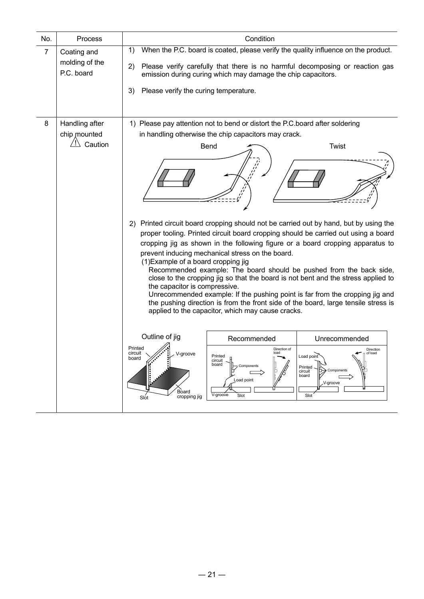| No.            | Process                                     | Condition                                                                                                                                                                                                                                                                                                                                                                                                                                                                                                                                                                                                                                                                                                                                                                                                                                                                                                                                                    |
|----------------|---------------------------------------------|--------------------------------------------------------------------------------------------------------------------------------------------------------------------------------------------------------------------------------------------------------------------------------------------------------------------------------------------------------------------------------------------------------------------------------------------------------------------------------------------------------------------------------------------------------------------------------------------------------------------------------------------------------------------------------------------------------------------------------------------------------------------------------------------------------------------------------------------------------------------------------------------------------------------------------------------------------------|
| $\overline{7}$ | Coating and<br>molding of the<br>P.C. board | When the P.C. board is coated, please verify the quality influence on the product.<br>1)<br>2) Please verify carefully that there is no harmful decomposing or reaction gas<br>emission during curing which may damage the chip capacitors.<br>Please verify the curing temperature.<br>3)                                                                                                                                                                                                                                                                                                                                                                                                                                                                                                                                                                                                                                                                   |
| 8              | Handling after<br>chip mounted<br>Caution   | 1) Please pay attention not to bend or distort the P.C. board after soldering<br>in handling otherwise the chip capacitors may crack.<br>Twist<br>Bend<br>2) Printed circuit board cropping should not be carried out by hand, but by using the<br>proper tooling. Printed circuit board cropping should be carried out using a board<br>cropping jig as shown in the following figure or a board cropping apparatus to<br>prevent inducing mechanical stress on the board.<br>(1) Example of a board cropping jig<br>Recommended example: The board should be pushed from the back side,<br>close to the cropping jig so that the board is not bent and the stress applied to<br>the capacitor is compressive.<br>Unrecommended example: If the pushing point is far from the cropping jig and<br>the pushing direction is from the front side of the board, large tensile stress is<br>applied to the capacitor, which may cause cracks.<br>Outline of jig |
|                |                                             | Recommended<br>Unrecommended<br>Printed<br>Direction of<br>Direction<br>circuit<br>load<br>V-groove<br>of load<br>Printed<br>Load point<br>board<br>circuit<br>board<br>Components<br>Printed<br>Components<br>circuit<br>board<br>Load point<br>V-groove<br>Board<br>V-groove<br>Slot<br>Slot<br>cropping jig<br>Slot                                                                                                                                                                                                                                                                                                                                                                                                                                                                                                                                                                                                                                       |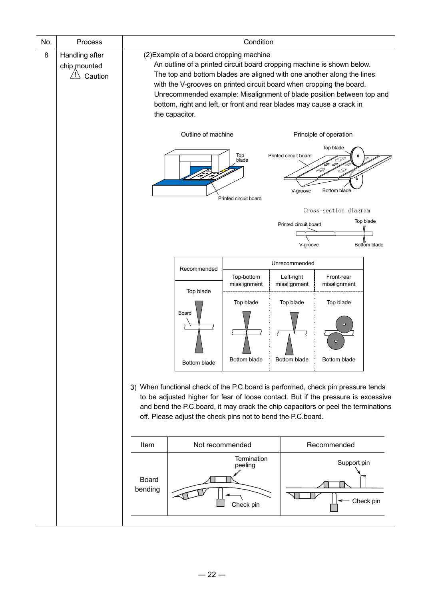| No. | Process                                            | Condition               |                                                                                                                                                                                                                                                                                                                                                                                                                                         |                                                              |                                                            |                                                                                                                                                                                                                                                            |  |  |
|-----|----------------------------------------------------|-------------------------|-----------------------------------------------------------------------------------------------------------------------------------------------------------------------------------------------------------------------------------------------------------------------------------------------------------------------------------------------------------------------------------------------------------------------------------------|--------------------------------------------------------------|------------------------------------------------------------|------------------------------------------------------------------------------------------------------------------------------------------------------------------------------------------------------------------------------------------------------------|--|--|
| 8   | Handling after<br>chip mounted<br>/ ! \<br>Caution |                         | (2) Example of a board cropping machine<br>An outline of a printed circuit board cropping machine is shown below.<br>The top and bottom blades are aligned with one another along the lines<br>with the V-grooves on printed circuit board when cropping the board.<br>Unrecommended example: Misalignment of blade position between top and<br>bottom, right and left, or front and rear blades may cause a crack in<br>the capacitor. |                                                              |                                                            |                                                                                                                                                                                                                                                            |  |  |
|     |                                                    |                         | Outline of machine                                                                                                                                                                                                                                                                                                                                                                                                                      | Top<br>blade<br>Printed circuit board                        | Printed circuit board<br>V-groove<br>Printed circuit board | Principle of operation<br>Top blade<br>D<br>40<br>Bottom blade<br>Cross-section diagram<br>Top blade                                                                                                                                                       |  |  |
|     |                                                    |                         |                                                                                                                                                                                                                                                                                                                                                                                                                                         |                                                              | V-groove<br><b>Bottom blade</b>                            |                                                                                                                                                                                                                                                            |  |  |
|     |                                                    |                         | Recommended                                                                                                                                                                                                                                                                                                                                                                                                                             | Top-bottom                                                   | Unrecommended<br>Left-right                                | Front-rear                                                                                                                                                                                                                                                 |  |  |
|     |                                                    |                         | Top blade<br>Board<br>Bottom blade                                                                                                                                                                                                                                                                                                                                                                                                      | misalignment<br>Top blade<br>Bottom blade                    | misalignment<br>Top blade<br>Bottom blade                  | misalignment<br>Top blade<br>Ω<br>C<br>Bottom blade                                                                                                                                                                                                        |  |  |
|     |                                                    |                         |                                                                                                                                                                                                                                                                                                                                                                                                                                         | off. Please adjust the check pins not to bend the P.C.board. |                                                            | 3) When functional check of the P.C.board is performed, check pin pressure tends<br>to be adjusted higher for fear of loose contact. But if the pressure is excessive<br>and bend the P.C.board, it may crack the chip capacitors or peel the terminations |  |  |
|     |                                                    | Item                    |                                                                                                                                                                                                                                                                                                                                                                                                                                         | Not recommended                                              |                                                            | Recommended                                                                                                                                                                                                                                                |  |  |
|     |                                                    | <b>Board</b><br>bending |                                                                                                                                                                                                                                                                                                                                                                                                                                         | Termination<br>peeling<br>Check pin                          |                                                            | Support pin<br>Check pin                                                                                                                                                                                                                                   |  |  |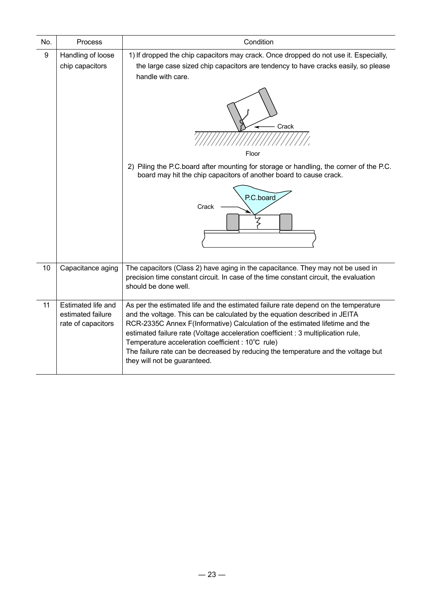| No. | Process                                                       | Condition                                                                                                                                                                                                                                                                                                                                                                                                                                                                                                       |
|-----|---------------------------------------------------------------|-----------------------------------------------------------------------------------------------------------------------------------------------------------------------------------------------------------------------------------------------------------------------------------------------------------------------------------------------------------------------------------------------------------------------------------------------------------------------------------------------------------------|
| 9   | Handling of loose<br>chip capacitors                          | 1) If dropped the chip capacitors may crack. Once dropped do not use it. Especially,<br>the large case sized chip capacitors are tendency to have cracks easily, so please<br>handle with care.<br>Crack<br>Floor<br>2) Piling the P.C.board after mounting for storage or handling, the corner of the P.C.<br>board may hit the chip capacitors of another board to cause crack.<br>P.C.board<br>Crack                                                                                                         |
| 10  | Capacitance aging                                             | The capacitors (Class 2) have aging in the capacitance. They may not be used in<br>precision time constant circuit. In case of the time constant circuit, the evaluation<br>should be done well.                                                                                                                                                                                                                                                                                                                |
| 11  | Estimated life and<br>estimated failure<br>rate of capacitors | As per the estimated life and the estimated failure rate depend on the temperature<br>and the voltage. This can be calculated by the equation described in JEITA<br>RCR-2335C Annex F(Informative) Calculation of the estimated lifetime and the<br>estimated failure rate (Voltage acceleration coefficient : 3 multiplication rule,<br>Temperature acceleration coefficient : 10°C rule)<br>The failure rate can be decreased by reducing the temperature and the voltage but<br>they will not be guaranteed. |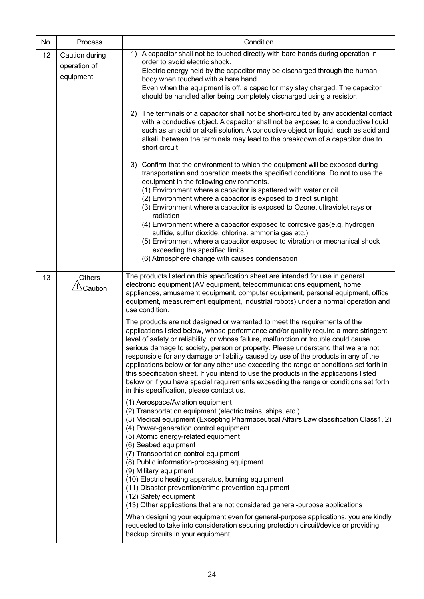| No. | Process                                     | Condition                                                                                                                                                                                                                                                                                                                                                                                                                                                                                                                                                                                                                                                                                                                                                                                                                                                                                                                                                                                                                                                                                                              |
|-----|---------------------------------------------|------------------------------------------------------------------------------------------------------------------------------------------------------------------------------------------------------------------------------------------------------------------------------------------------------------------------------------------------------------------------------------------------------------------------------------------------------------------------------------------------------------------------------------------------------------------------------------------------------------------------------------------------------------------------------------------------------------------------------------------------------------------------------------------------------------------------------------------------------------------------------------------------------------------------------------------------------------------------------------------------------------------------------------------------------------------------------------------------------------------------|
| 12  | Caution during<br>operation of<br>equipment | 1) A capacitor shall not be touched directly with bare hands during operation in<br>order to avoid electric shock.<br>Electric energy held by the capacitor may be discharged through the human<br>body when touched with a bare hand.<br>Even when the equipment is off, a capacitor may stay charged. The capacitor<br>should be handled after being completely discharged using a resistor.                                                                                                                                                                                                                                                                                                                                                                                                                                                                                                                                                                                                                                                                                                                         |
|     |                                             | 2) The terminals of a capacitor shall not be short-circuited by any accidental contact<br>with a conductive object. A capacitor shall not be exposed to a conductive liquid<br>such as an acid or alkali solution. A conductive object or liquid, such as acid and<br>alkali, between the terminals may lead to the breakdown of a capacitor due to<br>short circuit                                                                                                                                                                                                                                                                                                                                                                                                                                                                                                                                                                                                                                                                                                                                                   |
|     |                                             | 3) Confirm that the environment to which the equipment will be exposed during<br>transportation and operation meets the specified conditions. Do not to use the<br>equipment in the following environments.<br>(1) Environment where a capacitor is spattered with water or oil<br>(2) Environment where a capacitor is exposed to direct sunlight<br>(3) Environment where a capacitor is exposed to Ozone, ultraviolet rays or<br>radiation<br>(4) Environment where a capacitor exposed to corrosive gas(e.g. hydrogen<br>sulfide, sulfur dioxide, chlorine. ammonia gas etc.)<br>(5) Environment where a capacitor exposed to vibration or mechanical shock<br>exceeding the specified limits.<br>(6) Atmosphere change with causes condensation                                                                                                                                                                                                                                                                                                                                                                   |
| 13  | <b>Others</b><br>Caution                    | The products listed on this specification sheet are intended for use in general<br>electronic equipment (AV equipment, telecommunications equipment, home<br>appliances, amusement equipment, computer equipment, personal equipment, office<br>equipment, measurement equipment, industrial robots) under a normal operation and<br>use condition.<br>The products are not designed or warranted to meet the requirements of the<br>applications listed below, whose performance and/or quality require a more stringent<br>level of safety or reliability, or whose failure, malfunction or trouble could cause<br>serious damage to society, person or property. Please understand that we are not<br>responsible for any damage or liability caused by use of the products in any of the<br>applications below or for any other use exceeding the range or conditions set forth in<br>this specification sheet. If you intend to use the products in the applications listed<br>below or if you have special requirements exceeding the range or conditions set forth<br>in this specification, please contact us. |
|     |                                             | (1) Aerospace/Aviation equipment<br>(2) Transportation equipment (electric trains, ships, etc.)<br>(3) Medical equipment (Excepting Pharmaceutical Affairs Law classification Class1, 2)<br>(4) Power-generation control equipment<br>(5) Atomic energy-related equipment<br>(6) Seabed equipment<br>(7) Transportation control equipment<br>(8) Public information-processing equipment<br>(9) Military equipment<br>(10) Electric heating apparatus, burning equipment<br>(11) Disaster prevention/crime prevention equipment<br>(12) Safety equipment<br>(13) Other applications that are not considered general-purpose applications                                                                                                                                                                                                                                                                                                                                                                                                                                                                               |
|     |                                             | When designing your equipment even for general-purpose applications, you are kindly<br>requested to take into consideration securing protection circuit/device or providing<br>backup circuits in your equipment.                                                                                                                                                                                                                                                                                                                                                                                                                                                                                                                                                                                                                                                                                                                                                                                                                                                                                                      |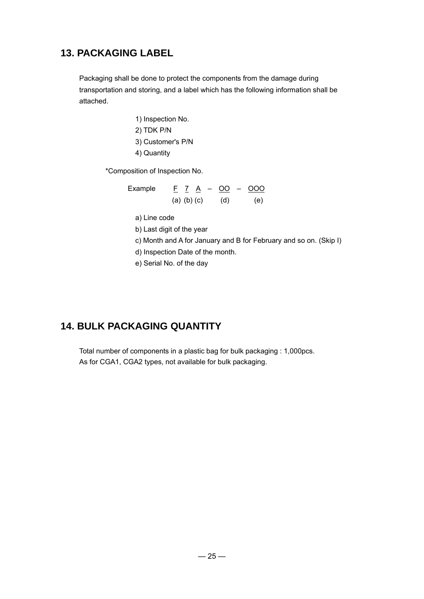# **13. PACKAGING LABEL**

Packaging shall be done to protect the components from the damage during transportation and storing, and a label which has the following information shall be attached.

> 1) Inspection No. 2) TDK P/N 3) Customer's P/N 4) Quantity

\*Composition of Inspection No.

Example  $F \times A - OQ - OOO$ (a) (b) (c) (d) (e)

a) Line code

b) Last digit of the year

c) Month and A for January and B for February and so on. (Skip I)

d) Inspection Date of the month.

e) Serial No. of the day

# **14. BULK PACKAGING QUANTITY**

Total number of components in a plastic bag for bulk packaging : 1,000pcs. As for CGA1, CGA2 types, not available for bulk packaging.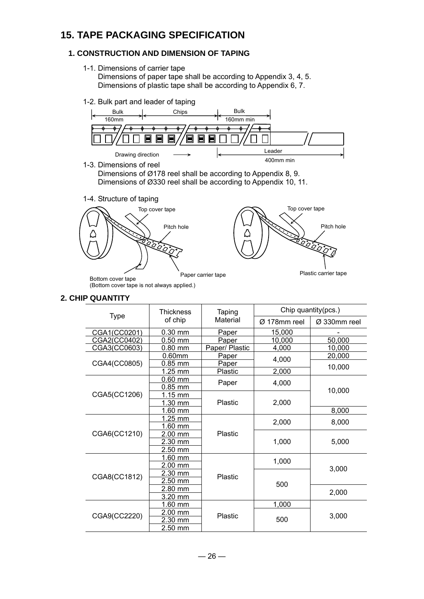# **15. TAPE PACKAGING SPECIFICATION**

### **1. CONSTRUCTION AND DIMENSION OF TAPING**

- 1-1. Dimensions of carrier tape Dimensions of paper tape shall be according to Appendix 3, 4, 5. Dimensions of plastic tape shall be according to Appendix 6, 7.
- 1-2. Bulk part and leader of taping



### **2. CHIP QUANTITY**

|              | <b>Thickness</b>  | Taping         | Chip quantity(pcs.) |              |  |
|--------------|-------------------|----------------|---------------------|--------------|--|
| <b>Type</b>  | of chip           | Material       | Ø 178mm reel        | Ø 330mm reel |  |
| CGA1(CC0201) | $0.30$ mm         | Paper          | 15.000              |              |  |
| CGA2(CC0402) | $0.50$ mm         | Paper          | 10,000              | 50,000       |  |
| CGA3(CC0603) | $0.80$ mm         | Paper/ Plastic | 4,000               | 10,000       |  |
|              | $0.60$ mm         | Paper          | 4,000               | 20,000       |  |
| CGA4(CC0805) | $0.85$ mm         | Paper          |                     | 10,000       |  |
|              | 1.25 mm           | Plastic        | 2,000               |              |  |
|              | $0.60$ mm         | Paper          | 4,000               | 10,000       |  |
|              | $0.85$ mm         |                |                     |              |  |
| CGA5(CC1206) | $1.15$ mm         |                |                     |              |  |
|              | 1.30 mm           | <b>Plastic</b> | 2,000               |              |  |
|              | 1.60 mm           |                |                     | 8,000        |  |
|              | 1.25 mm           |                | 2,000               | 8,000        |  |
|              | 1.60 mm           |                |                     |              |  |
| CGA6(CC1210) | $2.00$ mm         | Plastic        |                     | 5,000        |  |
|              | 2.30 mm           |                | 1,000               |              |  |
|              | 2.50 mm           |                |                     |              |  |
|              | $1.60$ mm         |                | 1,000               |              |  |
|              | $2.00$ mm         |                |                     | 3,000        |  |
| CGA8(CC1812) | 2.30 mm           | Plastic        |                     |              |  |
|              | $2.50$ mm         |                | 500                 |              |  |
|              | 2.80 mm           |                |                     | 2,000        |  |
|              | $3.20$ mm         |                |                     |              |  |
|              | 1.60 mm           |                | 1,000               |              |  |
| CGA9(CC2220) | $2.00 \text{ mm}$ | Plastic        |                     | 3,000        |  |
|              | 2.30 mm           |                | 500                 |              |  |
|              | $2.50$ mm         |                |                     |              |  |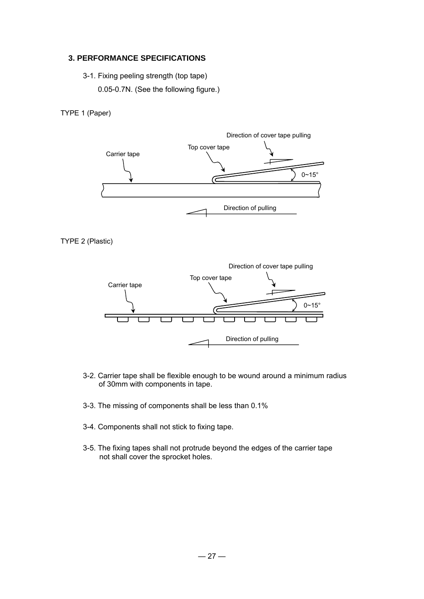### **3. PERFORMANCE SPECIFICATIONS**

- 3-1. Fixing peeling strength (top tape)
	- 0.05-0.7N. (See the following figure.)

TYPE 1 (Paper)



```
TYPE 2 (Plastic)
```


- 3-2. Carrier tape shall be flexible enough to be wound around a minimum radius of 30mm with components in tape.
- 3-3. The missing of components shall be less than 0.1%
- 3-4. Components shall not stick to fixing tape.
- 3-5. The fixing tapes shall not protrude beyond the edges of the carrier tape not shall cover the sprocket holes.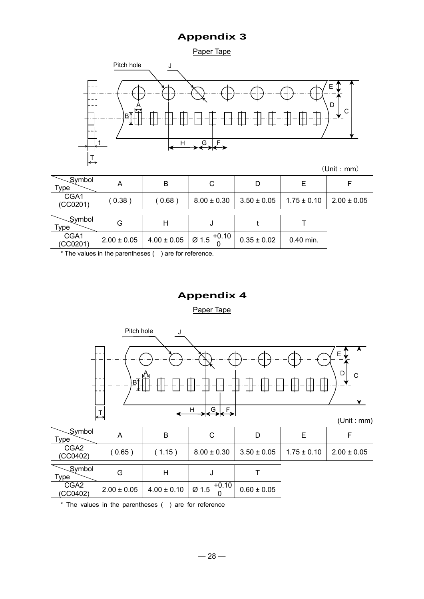Paper Tape



|                              |                 |                 |                             |                 |                 | (Unit : mm)     |
|------------------------------|-----------------|-----------------|-----------------------------|-----------------|-----------------|-----------------|
| $\sqrt{Symbol}$<br>Type      | A               | B               | C                           | D               | Е               |                 |
| CGA1<br>(CCO201)             | (0.38)          | (0.68)          | $8.00 \pm 0.30$             | $3.50 \pm 0.05$ | $1.75 \pm 0.10$ | $2.00 \pm 0.05$ |
|                              |                 |                 |                             |                 |                 |                 |
| <b>Symbol</b><br><b>Type</b> | G               | Н               | J                           |                 |                 |                 |
| CGA1<br>(CCO201)             | $2.00 \pm 0.05$ | $4.00 \pm 0.05$ | $+0.10$<br>Ø <sub>1.5</sub> | $0.35 \pm 0.02$ | $0.40$ min.     |                 |

\* The values in the parentheses ( ) are for reference.

# **Appendix 4**

Paper Tape



| _Symbol<br>Type              | Α               | B                                     | C                           | D               | E.              |                 |
|------------------------------|-----------------|---------------------------------------|-----------------------------|-----------------|-----------------|-----------------|
| CGA <sub>2</sub><br>(CCO402) | (0.65)          | (1.15)                                | $8.00 \pm 0.30$             | $3.50 \pm 0.05$ | $1.75 \pm 0.10$ | $2.00 \pm 0.05$ |
| _Symbol<br><b>Type</b>       | G               | Η                                     |                             |                 |                 |                 |
| CGA <sub>2</sub><br>(CCO402) | $2.00 \pm 0.05$ | $4.00 \pm 0.10$                       | $+0.10$<br>Ø <sub>1.5</sub> | $0.60 \pm 0.05$ |                 |                 |
| $\cdots$ $\cdots$            |                 | $\sim$ $\sim$ $\sim$ $\sim$<br>$\sim$ | $\sim$ $\sim$<br>$\sim$     |                 |                 |                 |

\* The values in the parentheses ( ) are for reference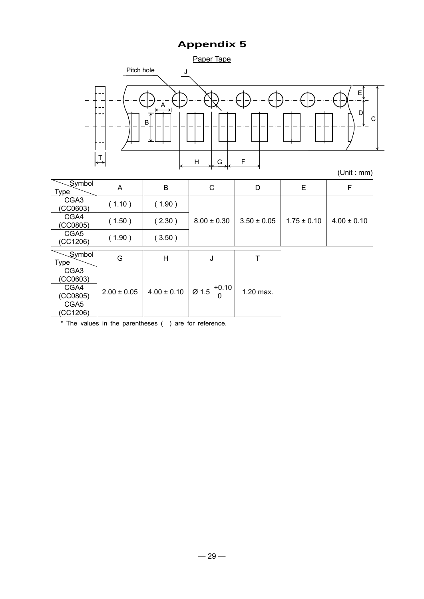Paper Tape



| Symbol<br>Type               | A               | B               | C                | D               | E               | F               |
|------------------------------|-----------------|-----------------|------------------|-----------------|-----------------|-----------------|
| CGA <sub>3</sub><br>(CCO603) | (1.10)          | (1.90)          |                  |                 |                 |                 |
| CGA4<br>(CCO805)             | (1.50)          | (2.30)          | $8.00 \pm 0.30$  | $3.50 \pm 0.05$ | $1.75 \pm 0.10$ | $4.00 \pm 0.10$ |
| CGA5<br>(CC1206)             | (1.90)          | (3.50)          |                  |                 |                 |                 |
| Symbol<br>Type               | G               | H               | J                | т               |                 |                 |
| CGA <sub>3</sub><br>(CC0603) |                 |                 |                  |                 |                 |                 |
| CGA4<br>(CC0805)             | $2.00 \pm 0.05$ | $4.00 \pm 0.10$ | $+0.10$<br>Ø 1.5 | 1.20 max.       |                 |                 |
| CGA5<br>(CC1206)             |                 |                 |                  |                 |                 |                 |

\* The values in the parentheses ( ) are for reference.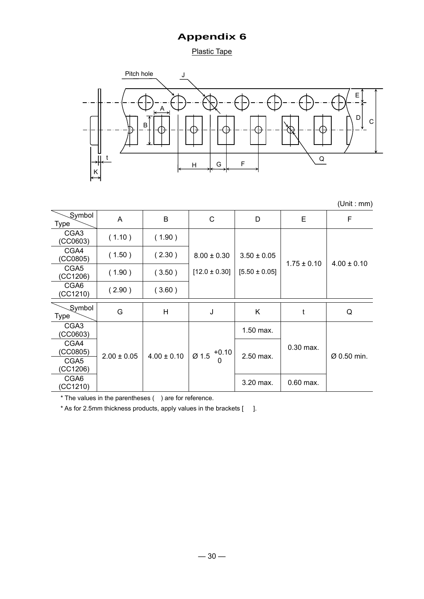**Plastic Tape** 



|                              |                 |                 |                   |                   |                 | (Unit : mm)     |
|------------------------------|-----------------|-----------------|-------------------|-------------------|-----------------|-----------------|
| Symbol<br><b>Type</b>        | A               | B               | C                 | D                 | E               | F               |
| CGA <sub>3</sub><br>(CCO603) | (1.10)          | (1.90)          |                   |                   |                 |                 |
| CGA4<br>(CCO805)             | (1.50)          | (2.30)          | $8.00 \pm 0.30$   | $3.50 \pm 0.05$   | $1.75 \pm 0.10$ | $4.00 \pm 0.10$ |
| CGA5<br>(CC1206)             | (1.90)          | (3.50)          | $[12.0 \pm 0.30]$ | $[5.50 \pm 0.05]$ |                 |                 |
| CGA6<br>(CC1210)             | (2.90)          | (3.60)          |                   |                   |                 |                 |
| Symbol<br><b>Type</b>        | G               | H               | J                 | K                 | t               | Q               |
| CGA <sub>3</sub><br>(CCO603) |                 |                 |                   | 1.50 max.         |                 |                 |
| CGA4<br>(CC0805)             | $2.00 \pm 0.05$ | $4.00 \pm 0.10$ | $+0.10$<br>Ø 1.5  | 2.50 max.         | $0.30$ max.     | Ø 0.50 min.     |
| CGA5<br>(CC1206)             |                 |                 | 0                 |                   |                 |                 |
| CGA6<br>(CC1210)             |                 |                 |                   | 3.20 max.         | $0.60$ max.     |                 |

\* The values in the parentheses ( ) are for reference.

\* As for 2.5mm thickness products, apply values in the brackets [ ].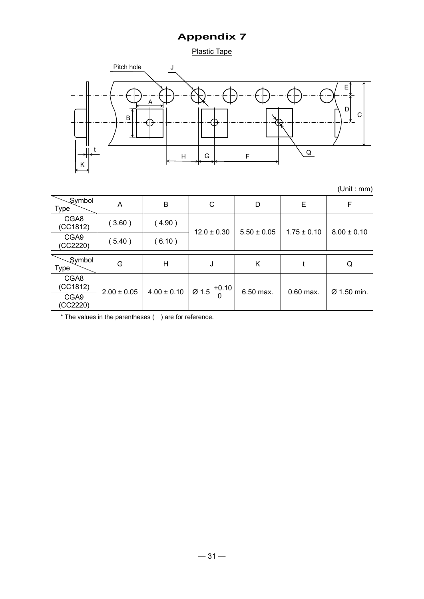Plastic Tape



(Unit : mm)

Symbol Type A B C D E F CGA8  $(CC1812)$  ( 3.60 ) ( 4.90 )  $\begin{array}{|c|c|c|c|c|c|c|c|c|}\n\hline\n\text{CGA9} & & & & & 12.0 \pm 0.30 & 5.50 \pm 0.05 & 1.75 \pm 0.10 & 8.00 \pm 0.10 \\
\hline\n\end{array}$  $\begin{array}{|c|c|c|c|c|}\n\hline\n\text{CGA9} & (5.40) & (6.10)\n\hline\n\end{array}$ Symbol<br>Type Type G H J K t Q CGA8<br>(CC1812)  $\begin{array}{|l|c|c|c|c|c|}\n\hline \text{CGA9} & 2.00 & 0.05 & 4.00 & 0.10 & \varnothing & 1.5 & ^{+0.10} & 6.50 & \text{max.} & \varnothing & 0.60 & \text{max.} & \varnothing & 1.50 & \text{min.} \end{array}$ (CC2220)

\* The values in the parentheses ( ) are for reference.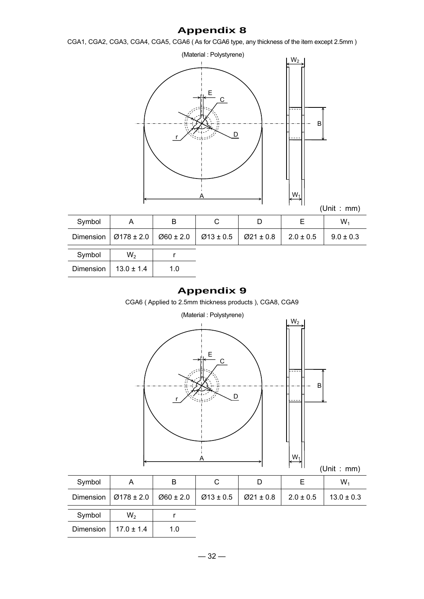CGA1, CGA2, CGA3, CGA4, CGA5, CGA6 ( As for CGA6 type, any thickness of the item except 2.5mm )



| Symbol |                                                                                                  | B |  | W، |
|--------|--------------------------------------------------------------------------------------------------|---|--|----|
|        | Dimension $9178 \pm 2.0$ $060 \pm 2.0$ $033 \pm 0.5$ $021 \pm 0.8$ $12.0 \pm 0.5$ 19.0 $\pm 0.3$ |   |  |    |
| Symbol | $W_{\alpha}$                                                                                     |   |  |    |

| Symbol    | W,             |     |  |
|-----------|----------------|-----|--|
| Dimension | $13.0 \pm 1.4$ | 1.0 |  |

## **Appendix 9**

CGA6 ( Applied to 2.5mm thickness products ), CGA8, CGA9



| Symbol    | A              | в             |               | D             | Е             | W,             |
|-----------|----------------|---------------|---------------|---------------|---------------|----------------|
| Dimension | $Ø178 \pm 2.0$ | $Ø60 \pm 2.0$ | $Ø13 \pm 0.5$ | $Ø21 \pm 0.8$ | $2.0 \pm 0.5$ | $13.0 \pm 0.3$ |
| Symbol    | W <sub>2</sub> |               |               |               |               |                |
| Dimension | $17.0 \pm 1.4$ | 1.0           |               |               |               |                |